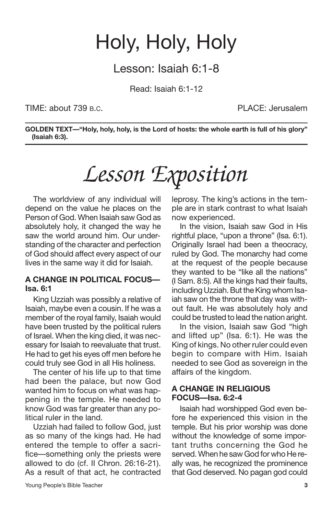## Holy, Holy, Holy

## Lesson: Isaiah 6:1-8

Read: Isaiah 6:1-12

### TIME: about 739 B.C. PLACE: Jerusalem

**GOLDEN TEXT—"Holy, holy, holy, is the Lord of hosts: the whole earth is full of his glory" (Isaiah 6:3).**

# *Lesson Exposition*

The worldview of any individual will depend on the value he places on the Person of God. When Isaiah saw God as absolutely holy, it changed the way he saw the world around him. Our understanding of the character and perfection of God should affect every aspect of our lives in the same way it did for Isaiah.

### **A CHANGE IN POLITICAL FOCUS— Isa. 6:1**

King Uzziah was possibly a relative of Isaiah, maybe even a cousin. If he was a member of the royal family, Isaiah would have been trusted by the political rulers of Israel. When the king died, it was necessary for Isaiah to reevaluate that trust. He had to get his eyes off men before he could truly see God in all His holiness.

The center of his life up to that time had been the palace, but now God wanted him to focus on what was happening in the temple. He needed to know God was far greater than any political ruler in the land.

Uzziah had failed to follow God, just as so many of the kings had. He had entered the temple to offer a sacrifice—something only the priests were allowed to do (cf. II Chron. 26:16-21). As a result of that act, he contracted leprosy. The king's actions in the temple are in stark contrast to what Isaiah now experienced.

In the vision, Isaiah saw God in His rightful place, "upon a throne" (Isa. 6:1). Originally Israel had been a theocracy, ruled by God. The monarchy had come at the request of the people because they wanted to be "like all the nations" (I Sam. 8:5). All the kings had their faults, including Uzziah. But the King whom Isaiah saw on the throne that day was without fault. He was absolutely holy and could be trusted to lead the nation aright.

In the vision, Isaiah saw God "high and lifted up" (Isa. 6:1). He was the King of kings. No other ruler could even begin to compare with Him. Isaiah needed to see God as sovereign in the affairs of the kingdom.

### **A CHANGE IN RELIGIOUS FOCUS—Isa. 6:2-4**

Isaiah had worshipped God even before he experienced this vision in the temple. But his prior worship was done without the knowledge of some important truths concerning the God he served. When he saw God for who He really was, he recognized the prominence that God deserved. No pagan god could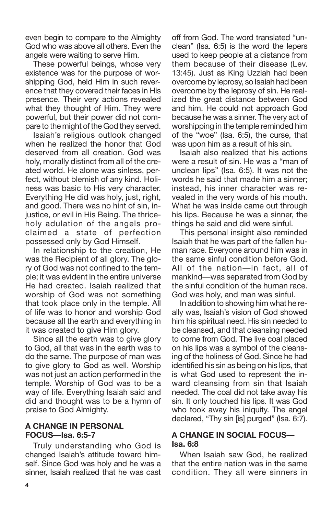even begin to compare to the Almighty God who was above all others. Even the angels were waiting to serve Him.

These powerful beings, whose very existence was for the purpose of worshipping God, held Him in such reverence that they covered their faces in His presence. Their very actions revealed what they thought of Him. They were powerful, but their power did not compare to the might of the God they served.

Isaiah's religious outlook changed when he realized the honor that God deserved from all creation. God was holy, morally distinct from all of the created world. He alone was sinless, perfect, without blemish of any kind. Holiness was basic to His very character. Everything He did was holy, just, right, and good. There was no hint of sin, injustice, or evil in His Being. The thriceholy adulation of the angels proclaimed a state of perfection possessed only by God Himself.

In relationship to the creation, He was the Recipient of all glory. The glory of God was not confined to the temple; it was evident in the entire universe He had created. Isaiah realized that worship of God was not something that took place only in the temple. All of life was to honor and worship God because all the earth and everything in it was created to give Him glory.

Since all the earth was to give glory to God, all that was in the earth was to do the same. The purpose of man was to give glory to God as well. Worship was not just an action performed in the temple. Worship of God was to be a way of life. Everything Isaiah said and did and thought was to be a hymn of praise to God Almighty.

## **A CHANGE IN PERSONAL FOCUS—Isa. 6:5-7**

Truly understanding who God is changed Isaiah's attitude toward himself. Since God was holy and he was a sinner, Isaiah realized that he was cast off from God. The word translated "unclean" (Isa. 6:5) is the word the lepers used to keep people at a distance from them because of their disease (Lev. 13:45). Just as King Uzziah had been overcome by leprosy, so Isaiah had been overcome by the leprosy of sin. He realized the great distance between God and him. He could not approach God because he was a sinner. The very act of worshipping in the temple reminded him of the "woe" (Isa. 6:5), the curse, that was upon him as a result of his sin.

Isaiah also realized that his actions were a result of sin. He was a "man of unclean lips" (Isa. 6:5). It was not the words he said that made him a sinner; instead, his inner character was revealed in the very words of his mouth. What he was inside came out through his lips. Because he was a sinner, the things he said and did were sinful.

This personal insight also reminded Isaiah that he was part of the fallen human race. Everyone around him was in the same sinful condition before God. All of the nation—in fact, all of mankind—was separated from God by the sinful condition of the human race. God was holy, and man was sinful.

In addition to showing him what he really was, Isaiah's vision of God showed him his spiritual need. His sin needed to be cleansed, and that cleansing needed to come from God. The live coal placed on his lips was a symbol of the cleansing of the holiness of God. Since he had identified his sin as being on his lips, that is what God used to represent the inward cleansing from sin that Isaiah needed. The coal did not take away his sin. It only touched his lips. It was God who took away his iniquity. The angel declared, "Thy sin [is] purged" (Isa. 6:7).

### **A CHANGE IN SOCIAL FOCUS— Isa. 6:8**

When Isaiah saw God, he realized that the entire nation was in the same condition. They all were sinners in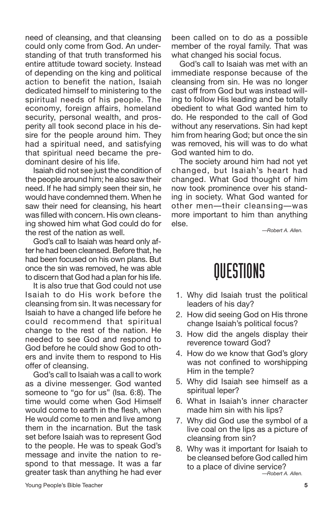need of cleansing, and that cleansing could only come from God. An understanding of that truth transformed his entire attitude toward society. Instead of depending on the king and political action to benefit the nation, Isaiah dedicated himself to ministering to the spiritual needs of his people. The economy, foreign affairs, homeland security, personal wealth, and prosperity all took second place in his desire for the people around him. They had a spiritual need, and satisfying that spiritual need became the predominant desire of his life.

Isaiah did not see just the condition of the people around him; he also saw their need. If he had simply seen their sin, he would have condemned them. When he saw their need for cleansing, his heart was filled with concern. His own cleansing showed him what God could do for the rest of the nation as well.

God's call to Isaiah was heard only after he had been cleansed. Before that, he had been focused on his own plans. But once the sin was removed, he was able to discern that God had a plan for his life.

It is also true that God could not use Isaiah to do His work before the cleansing from sin. It was necessary for Isaiah to have a changed life before he could recommend that spiritual change to the rest of the nation. He needed to see God and respond to God before he could show God to others and invite them to respond to His offer of cleansing.

God's call to Isaiah was a call to work as a divine messenger. God wanted someone to "go for us" (Isa, 6:8). The time would come when God Himself would come to earth in the flesh, when He would come to men and live among them in the incarnation. But the task set before Isaiah was to represent God to the people. He was to speak God's message and invite the nation to respond to that message. It was a far greater task than anything he had ever

been called on to do as a possible member of the royal family. That was what changed his social focus.

God's call to Isaiah was met with an immediate response because of the cleansing from sin. He was no longer cast off from God but was instead willing to follow His leading and be totally obedient to what God wanted him to do. He responded to the call of God without any reservations. Sin had kept him from hearing God; but once the sin was removed, his will was to do what God wanted him to do.

The society around him had not yet changed, but Isaiah's heart had changed. What God thought of him now took prominence over his standing in society. What God wanted for other men—their cleansing—was more important to him than anything else.

*—Robert A. Allen.*

## **OUESTIONS**

- 1. Why did Isaiah trust the political leaders of his day?
- 2. How did seeing God on His throne change Isaiah's political focus?
- 3. How did the angels display their reverence toward God?
- 4. How do we know that God's glory was not confined to worshipping Him in the temple?
- 5. Why did Isaiah see himself as a spiritual leper?
- 6. What in Isaiah's inner character made him sin with his lips?
- 7. Why did God use the symbol of a live coal on the lips as a picture of cleansing from sin?
- 8. Why was it important for Isaiah to be cleansed before God called him to a place of divine service? *—Robert A. Allen.*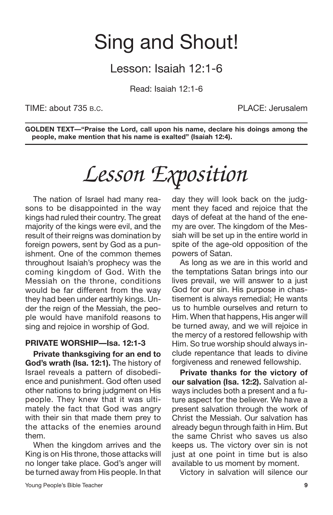## Sing and Shout!

## Lesson: Isaiah 12:1-6

Read: Isaiah 12:1-6

TIME: about 735 B.C. PLACE: Jerusalem

**GOLDEN TEXT—"Praise the Lord, call upon his name, declare his doings among the people, make mention that his name is exalted" (Isaiah 12:4).**

# *Lesson Exposition*

The nation of Israel had many reasons to be disappointed in the way kings had ruled their country. The great majority of the kings were evil, and the result of their reigns was domination by foreign powers, sent by God as a punishment. One of the common themes throughout Isaiah's prophecy was the coming kingdom of God. With the Messiah on the throne, conditions would be far different from the way they had been under earthly kings. Under the reign of the Messiah, the people would have manifold reasons to sing and rejoice in worship of God.

## **PRIVATE WORSHIP—Isa. 12:1-3**

**Private thanksgiving for an end to God's wrath (Isa. 12:1).** The history of Israel reveals a pattern of disobedience and punishment. God often used other nations to bring judgment on His people. They knew that it was ultimately the fact that God was angry with their sin that made them prey to the attacks of the enemies around them.

When the kingdom arrives and the King is on His throne, those attacks will no longer take place. God's anger will be turned away from His people. In that day they will look back on the judgment they faced and rejoice that the days of defeat at the hand of the enemy are over. The kingdom of the Messiah will be set up in the entire world in spite of the age-old opposition of the powers of Satan.

As long as we are in this world and the temptations Satan brings into our lives prevail, we will answer to a just God for our sin. His purpose in chastisement is always remedial; He wants us to humble ourselves and return to Him. When that happens, His anger will be turned away, and we will rejoice in the mercy of a restored fellowship with Him. So true worship should always include repentance that leads to divine forgiveness and renewed fellowship.

**Private thanks for the victory of our salvation (Isa. 12:2).** Salvation always includes both a present and a future aspect for the believer. We have a present salvation through the work of Christ the Messiah. Our salvation has already begun through faith in Him. But the same Christ who saves us also keeps us. The victory over sin is not just at one point in time but is also available to us moment by moment.

Victory in salvation will silence our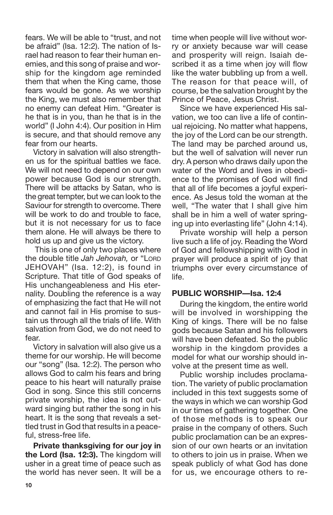fears. We will be able to "trust, and not be afraid" (Isa. 12:2). The nation of Israel had reason to fear their human enemies, and this song of praise and worship for the kingdom age reminded them that when the King came, those fears would be gone. As we worship the King, we must also remember that no enemy can defeat Him. "Greater is he that is in you, than he that is in the world" (I John 4:4). Our position in Him is secure, and that should remove any fear from our hearts.

Victory in salvation will also strengthen us for the spiritual battles we face. We will not need to depend on our own power because God is our strength. There will be attacks by Satan, who is the great tempter, but we can look to the Saviour for strength to overcome. There will be work to do and trouble to face. but it is not necessary for us to face them alone. He will always be there to hold us up and give us the victory.

This is one of only two places where the double title *Jah Jehovah,* or "LORD JEHOVAH" (Isa. 12:2), is found in Scripture. That title of God speaks of His unchangeableness and His eternality. Doubling the reference is a way of emphasizing the fact that He will not and cannot fail in His promise to sustain us through all the trials of life. With salvation from God, we do not need to fear.

Victory in salvation will also give us a theme for our worship. He will become our "song" (Isa. 12:2). The person who allows God to calm his fears and bring peace to his heart will naturally praise God in song. Since this still concerns private worship, the idea is not outward singing but rather the song in his heart. It is the song that reveals a settled trust in God that results in a peaceful, stress-free life.

**Private thanksgiving for our joy in the Lord (Isa. 12:3).** The kingdom will usher in a great time of peace such as the world has never seen. It will be a time when people will live without worry or anxiety because war will cease and prosperity will reign. Isaiah described it as a time when joy will flow like the water bubbling up from a well. The reason for that peace will, of course, be the salvation brought by the Prince of Peace, Jesus Christ.

Since we have experienced His salvation, we too can live a life of continual rejoicing. No matter what happens, the joy of the Lord can be our strength. The land may be parched around us, but the well of salvation will never run dry. A person who draws daily upon the water of the Word and lives in obedience to the promises of God will find that all of life becomes a joyful experience. As Jesus told the woman at the well, "The water that I shall give him shall be in him a well of water springing up into everlasting life" (John 4:14).

Private worship will help a person live such a life of joy. Reading the Word of God and fellowshipping with God in prayer will produce a spirit of joy that triumphs over every circumstance of life.

### **PUBLIC WORSHIP—Isa. 12:4**

During the kingdom, the entire world will be involved in worshipping the King of kings. There will be no false gods because Satan and his followers will have been defeated. So the public worship in the kingdom provides a model for what our worship should involve at the present time as well.

Public worship includes proclamation. The variety of public proclamation included in this text suggests some of the ways in which we can worship God in our times of gathering together. One of those methods is to speak our praise in the company of others. Such public proclamation can be an expression of our own hearts or an invitation to others to join us in praise. When we speak publicly of what God has done for us, we encourage others to re-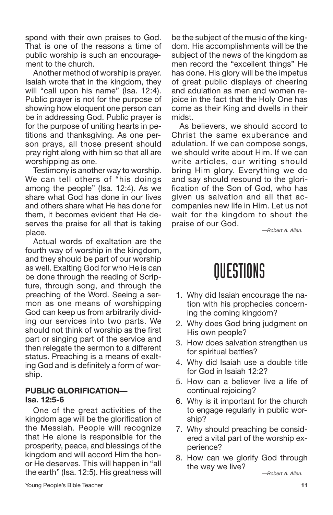spond with their own praises to God. That is one of the reasons a time of public worship is such an encouragement to the church.

Another method of worship is prayer. Isaiah wrote that in the kingdom, they will "call upon his name" (Isa. 12:4). Public prayer is not for the purpose of showing how eloquent one person can be in addressing God. Public prayer is for the purpose of uniting hearts in petitions and thanksgiving. As one person prays, all those present should pray right along with him so that all are worshipping as one.

Testimony is another way to worship. We can tell others of "his doings among the people" (Isa. 12:4). As we share what God has done in our lives and others share what He has done for them, it becomes evident that He deserves the praise for all that is taking place.

Actual words of exaltation are the fourth way of worship in the kingdom, and they should be part of our worship as well. Exalting God for who He is can be done through the reading of Scripture, through song, and through the preaching of the Word. Seeing a sermon as one means of worshipping God can keep us from arbitrarily dividing our services into two parts. We should not think of worship as the first part or singing part of the service and then relegate the sermon to a different status. Preaching is a means of exalting God and is definitely a form of worship.

## **PUBLIC GLORIFICATION— Isa. 12:5-6**

One of the great activities of the kingdom age will be the glorification of the Messiah. People will recognize that He alone is responsible for the prosperity, peace, and blessings of the kingdom and will accord Him the honor He deserves. This will happen in "all the earth" (Isa. 12:5). His greatness will

be the subject of the music of the kingdom. His accomplishments will be the subject of the news of the kingdom as men record the "excellent things" He has done. His glory will be the impetus of great public displays of cheering and adulation as men and women rejoice in the fact that the Holy One has come as their King and dwells in their midst.

As believers, we should accord to Christ the same exuberance and adulation. If we can compose songs, we should write about Him. If we can write articles, our writing should bring Him glory. Everything we do and say should resound to the glorification of the Son of God, who has given us salvation and all that accompanies new life in Him. Let us not wait for the kingdom to shout the praise of our God.

*—Robert A. Allen.*

## QUESTIONS

- 1. Why did Isaiah encourage the nation with his prophecies concerning the coming kingdom?
- 2. Why does God bring judgment on His own people?
- 3. How does salvation strengthen us for spiritual battles?
- 4. Why did Isaiah use a double title for God in Isaiah 12:2?
- 5. How can a believer live a life of continual rejoicing?
- 6. Why is it important for the church to engage regularly in public worship?
- 7. Why should preaching be considered a vital part of the worship experience?
- 8. How can we glorify God through the way we live?

*—Robert A. Allen.*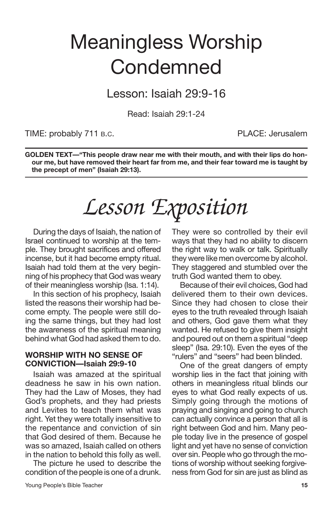## Meaningless Worship **Condemned**

Lesson: Isaiah 29:9-16

Read: Isaiah 29:1-24

TIME: probably 711 B.C. The Contract of the PLACE: Jerusalem

**GOLDEN TEXT—"This people draw near me with their mouth, and with their lips do honour me, but have removed their heart far from me, and their fear toward me is taught by the precept of men" (Isaiah 29:13).**

# *Lesson Exposition*

During the days of Isaiah, the nation of Israel continued to worship at the temple. They brought sacrifices and offered incense, but it had become empty ritual. Isaiah had told them at the very beginning of his prophecy that God was weary of their meaningless worship (Isa. 1:14).

In this section of his prophecy, Isaiah listed the reasons their worship had become empty. The people were still doing the same things, but they had lost the awareness of the spiritual meaning behind what God had asked them to do.

#### **WORSHIP WITH NO SENSE OF CONVICTION—Isaiah 29:9-10**

Isaiah was amazed at the spiritual deadness he saw in his own nation. They had the Law of Moses, they had God's prophets, and they had priests and Levites to teach them what was right. Yet they were totally insensitive to the repentance and conviction of sin that God desired of them. Because he was so amazed, Isaiah called on others in the nation to behold this folly as well.

The picture he used to describe the condition of the people is one of a drunk. They were so controlled by their evil ways that they had no ability to discern the right way to walk or talk. Spiritually they were like men overcome by alcohol. They staggered and stumbled over the truth God wanted them to obey.

Because of their evil choices, God had delivered them to their own devices. Since they had chosen to close their eyes to the truth revealed through Isaiah and others, God gave them what they wanted. He refused to give them insight and poured out on them a spiritual "deep sleep" (Isa. 29:10). Even the eyes of the "rulers" and "seers" had been blinded.

One of the great dangers of empty worship lies in the fact that joining with others in meaningless ritual blinds our eyes to what God really expects of us. Simply going through the motions of praying and singing and going to church can actually convince a person that all is right between God and him. Many people today live in the presence of gospel light and yet have no sense of conviction over sin. People who go through the motions of worship without seeking forgiveness from God for sin are just as blind as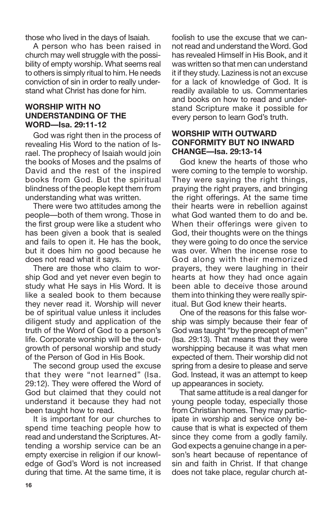those who lived in the days of Isaiah.

A person who has been raised in church may well struggle with the possibility of empty worship. What seems real to others is simply ritual to him. He needs conviction of sin in order to really understand what Christ has done for him.

#### **WORSHIP WITH NO UNDERSTANDING OF THE WORD—Isa. 29:11-12**

God was right then in the process of revealing His Word to the nation of Israel. The prophecy of Isaiah would join the books of Moses and the psalms of David and the rest of the inspired books from God. But the spiritual blindness of the people kept them from understanding what was written.

There were two attitudes among the people—both of them wrong. Those in the first group were like a student who has been given a book that is sealed and fails to open it. He has the book, but it does him no good because he does not read what it says.

There are those who claim to worship God and yet never even begin to study what He says in His Word. It is like a sealed book to them because they never read it. Worship will never be of spiritual value unless it includes diligent study and application of the truth of the Word of God to a person's life. Corporate worship will be the outgrowth of personal worship and study of the Person of God in His Book.

The second group used the excuse that they were "not learned" (Isa. 29:12). They were offered the Word of God but claimed that they could not understand it because they had not been taught how to read.

It is important for our churches to spend time teaching people how to read and understand the Scriptures. Attending a worship service can be an empty exercise in religion if our knowledge of God's Word is not increased during that time. At the same time, it is foolish to use the excuse that we cannot read and understand the Word. God has revealed Himself in His Book, and it was written so that men can understand it if they study. Laziness is not an excuse for a lack of knowledge of God. It is readily available to us. Commentaries and books on how to read and understand Scripture make it possible for every person to learn God's truth.

#### **WORSHIP WITH OUTWARD CONFORMITY BUT NO INWARD CHANGE—Isa. 29:13-14**

God knew the hearts of those who were coming to the temple to worship. They were saying the right things, praying the right prayers, and bringing the right offerings. At the same time their hearts were in rebellion against what God wanted them to do and be. When their offerings were given to God, their thoughts were on the things they were going to do once the service was over. When the incense rose to God along with their memorized prayers, they were laughing in their hearts at how they had once again been able to deceive those around them into thinking they were really spiritual. But God knew their hearts.

One of the reasons for this false worship was simply because their fear of God was taught "by the precept of men" (Isa. 29:13). That means that they were worshipping because it was what men expected of them. Their worship did not spring from a desire to please and serve God. Instead, it was an attempt to keep up appearances in society.

That same attitude is a real danger for young people today, especially those from Christian homes. They may participate in worship and service only because that is what is expected of them since they come from a godly family. God expects a genuine change in a person's heart because of repentance of sin and faith in Christ. If that change does not take place, regular church at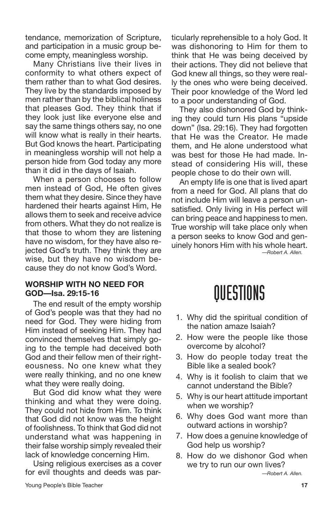tendance, memorization of Scripture, and participation in a music group become empty, meaningless worship.

Many Christians live their lives in conformity to what others expect of them rather than to what God desires. They live by the standards imposed by men rather than by the biblical holiness that pleases God. They think that if they look just like everyone else and say the same things others say, no one will know what is really in their hearts. But God knows the heart. Participating in meaningless worship will not help a person hide from God today any more than it did in the days of Isaiah.

When a person chooses to follow men instead of God, He often gives them what they desire. Since they have hardened their hearts against Him, He allows them to seek and receive advice from others. What they do not realize is that those to whom they are listening have no wisdom, for they have also rejected God's truth. They think they are wise, but they have no wisdom because they do not know God's Word.

#### **WORSHIP WITH NO NEED FOR GOD—Isa. 29:15-16**

The end result of the empty worship of God's people was that they had no need for God. They were hiding from Him instead of seeking Him. They had convinced themselves that simply going to the temple had deceived both God and their fellow men of their righteousness. No one knew what they were really thinking, and no one knew what they were really doing.

But God did know what they were thinking and what they were doing. They could not hide from Him. To think that God did not know was the height of foolishness. To think that God did not understand what was happening in their false worship simply revealed their lack of knowledge concerning Him.

Using religious exercises as a cover for evil thoughts and deeds was particularly reprehensible to a holy God. It was dishonoring to Him for them to think that He was being deceived by their actions. They did not believe that God knew all things, so they were really the ones who were being deceived. Their poor knowledge of the Word led to a poor understanding of God.

They also dishonored God by thinking they could turn His plans "upside down" (Isa. 29:16). They had forgotten that He was the Creator. He made them, and He alone understood what was best for those He had made. Instead of considering His will, these people chose to do their own will.

An empty life is one that is lived apart from a need for God. All plans that do not include Him will leave a person unsatisfied. Only living in His perfect will can bring peace and happiness to men. True worship will take place only when a person seeks to know God and genuinely honors Him with his whole heart. *—Robert A. Allen.*

## QUESTIONS

- 1. Why did the spiritual condition of the nation amaze Isaiah?
- 2. How were the people like those overcome by alcohol?
- 3. How do people today treat the Bible like a sealed book?
- 4. Why is it foolish to claim that we cannot understand the Bible?
- 5. Why is our heart attitude important when we worship?
- 6. Why does God want more than outward actions in worship?
- 7. How does a genuine knowledge of God help us worship?
- 8. How do we dishonor God when we try to run our own lives?

*—Robert A. Allen.*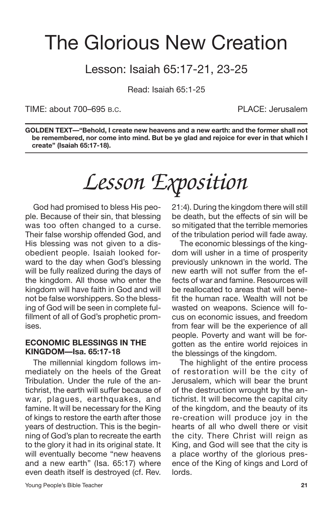## The Glorious New Creation

## Lesson: Isaiah 65:17-21, 23-25

Read: Isaiah 65:1-25

TIME: about 700–695 B.C. PLACE: Jerusalem

**GOLDEN TEXT—"Behold, I create new heavens and a new earth: and the former shall not be remembered, nor come into mind. But be ye glad and rejoice for ever in that which I create" (Isaiah 65:17-18).**

# *Lesson Exposition*

God had promised to bless His people. Because of their sin, that blessing was too often changed to a curse. Their false worship offended God, and His blessing was not given to a disobedient people. Isaiah looked forward to the day when God's blessing will be fully realized during the days of the kingdom. All those who enter the kingdom will have faith in God and will not be false worshippers. So the blessing of God will be seen in complete fulfillment of all of God's prophetic promises.

### **ECONOMIC BLESSINGS IN THE KINGDOM—Isa. 65:17-18**

The millennial kingdom follows immediately on the heels of the Great Tribulation. Under the rule of the antichrist, the earth will suffer because of war, plagues, earthquakes, and famine. It will be necessary for the King of kings to restore the earth after those years of destruction. This is the beginning of God's plan to recreate the earth to the glory it had in its original state. It will eventually become "new heavens and a new earth" (Isa. 65:17) where even death itself is destroyed (cf. Rev. 21:4). During the kingdom there will still be death, but the effects of sin will be so mitigated that the terrible memories of the tribulation period will fade away.

The economic blessings of the kingdom will usher in a time of prosperity previously unknown in the world. The new earth will not suffer from the effects of war and famine. Resources will be reallocated to areas that will benefit the human race. Wealth will not be wasted on weapons. Science will focus on economic issues, and freedom from fear will be the experience of all people. Poverty and want will be forgotten as the entire world rejoices in the blessings of the kingdom.

The highlight of the entire process of restoration will be the city of Jerusalem, which will bear the brunt of the destruction wrought by the antichrist. It will become the capital city of the kingdom, and the beauty of its re-creation will produce joy in the hearts of all who dwell there or visit the city. There Christ will reign as King, and God will see that the city is a place worthy of the glorious presence of the King of kings and Lord of lords.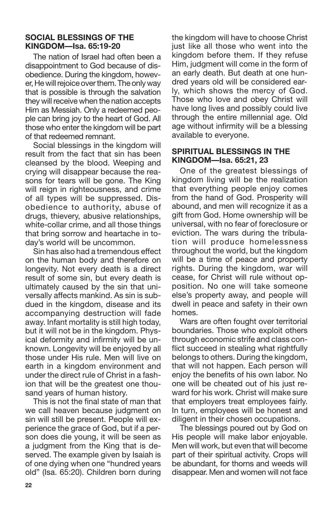### **SOCIAL BLESSINGS OF THE KINGDOM—Isa. 65:19-20**

The nation of Israel had often been a disappointment to God because of disobedience. During the kingdom, however, He will rejoice over them. The only way that is possible is through the salvation they will receive when the nation accepts Him as Messiah. Only a redeemed people can bring joy to the heart of God. All those who enter the kingdom will be part of that redeemed remnant.

Social blessings in the kingdom will result from the fact that sin has been cleansed by the blood. Weeping and crying will disappear because the reasons for tears will be gone. The King will reign in righteousness, and crime of all types will be suppressed. Disobedience to authority, abuse of drugs, thievery, abusive relationships, white-collar crime, and all those things that bring sorrow and heartache in today's world will be uncommon.

Sin has also had a tremendous effect on the human body and therefore on longevity. Not every death is a direct result of some sin, but every death is ultimately caused by the sin that universally affects mankind. As sin is subdued in the kingdom, disease and its accompanying destruction will fade away. Infant mortality is still high today, but it will not be in the kingdom. Physical deformity and infirmity will be unknown. Longevity will be enjoyed by all those under His rule. Men will live on earth in a kingdom environment and under the direct rule of Christ in a fashion that will be the greatest one thousand years of human history.

This is not the final state of man that we call heaven because judgment on sin will still be present. People will experience the grace of God, but if a person does die young, it will be seen as a judgment from the King that is deserved. The example given by Isaiah is of one dying when one "hundred years old" (Isa. 65:20). Children born during the kingdom will have to choose Christ just like all those who went into the kingdom before them. If they refuse Him, judgment will come in the form of an early death. But death at one hundred years old will be considered early, which shows the mercy of God. Those who love and obey Christ will have long lives and possibly could live through the entire millennial age. Old age without infirmity will be a blessing available to everyone.

### **SPIRITUAL BLESSINGS IN THE KINGDOM—Isa. 65:21, 23**

One of the greatest blessings of kingdom living will be the realization that everything people enjoy comes from the hand of God. Prosperity will abound, and men will recognize it as a gift from God. Home ownership will be universal, with no fear of foreclosure or eviction. The wars during the tribulation will produce homelessness throughout the world, but the kingdom will be a time of peace and property rights. During the kingdom, war will cease, for Christ will rule without opposition. No one will take someone else's property away, and people will dwell in peace and safety in their own homes.

Wars are often fought over territorial boundaries. Those who exploit others through economic strife and class conflict succeed in stealing what rightfully belongs to others. During the kingdom, that will not happen. Each person will enjoy the benefits of his own labor. No one will be cheated out of his just reward for his work. Christ will make sure that employers treat employees fairly. In turn, employees will be honest and diligent in their chosen occupations.

The blessings poured out by God on His people will make labor enjoyable. Men will work, but even that will become part of their spiritual activity. Crops will be abundant, for thorns and weeds will disappear. Men and women will not face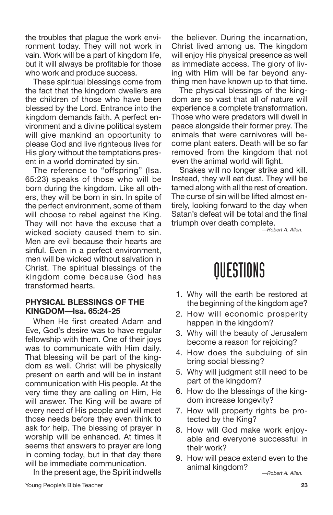the troubles that plague the work environment today. They will not work in vain. Work will be a part of kingdom life, but it will always be profitable for those who work and produce success.

These spiritual blessings come from the fact that the kingdom dwellers are the children of those who have been blessed by the Lord. Entrance into the kingdom demands faith. A perfect environment and a divine political system will give mankind an opportunity to please God and live righteous lives for His glory without the temptations present in a world dominated by sin.

The reference to "offspring" (Isa. 65:23) speaks of those who will be born during the kingdom. Like all others, they will be born in sin. In spite of the perfect environment, some of them will choose to rebel against the King. They will not have the excuse that a wicked society caused them to sin. Men are evil because their hearts are sinful. Even in a perfect environment, men will be wicked without salvation in Christ. The spiritual blessings of the kingdom come because God has transformed hearts.

### **PHYSICAL BLESSINGS OF THE KINGDOM—Isa. 65:24-25**

When He first created Adam and Eve, God's desire was to have regular fellowship with them. One of their joys was to communicate with Him daily. That blessing will be part of the kingdom as well. Christ will be physically present on earth and will be in instant communication with His people. At the very time they are calling on Him, He will answer. The King will be aware of every need of His people and will meet those needs before they even think to ask for help. The blessing of prayer in worship will be enhanced. At times it seems that answers to prayer are long in coming today, but in that day there will be immediate communication.

In the present age, the Spirit indwells

the believer. During the incarnation, Christ lived among us. The kingdom will enjoy His physical presence as well as immediate access. The glory of living with Him will be far beyond anything men have known up to that time.

The physical blessings of the kingdom are so vast that all of nature will experience a complete transformation. Those who were predators will dwell in peace alongside their former prey. The animals that were carnivores will become plant eaters. Death will be so far removed from the kingdom that not even the animal world will fight.

Snakes will no longer strike and kill. Instead, they will eat dust. They will be tamed along with all the rest of creation. The curse of sin will be lifted almost entirely, looking forward to the day when Satan's defeat will be total and the final triumph over death complete.

*—Robert A. Allen.*

- 1. Why will the earth be restored at the beginning of the kingdom age?
- 2. How will economic prosperity happen in the kingdom?
- 3. Why will the beauty of Jerusalem become a reason for rejoicing?
- 4. How does the subduing of sin bring social blessing?
- 5. Why will judgment still need to be part of the kingdom?
- 6. How do the blessings of the kingdom increase longevity?
- 7. How will property rights be protected by the King?
- 8. How will God make work enjoyable and everyone successful in their work?
- 9. How will peace extend even to the animal kingdom? *—Robert A. Allen.*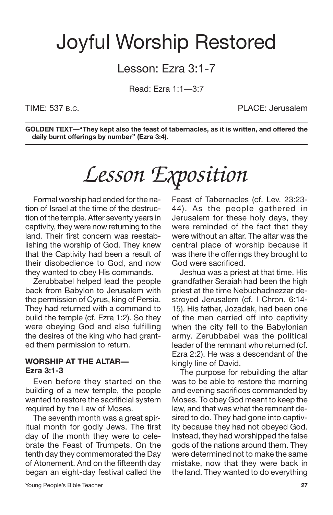## Joyful Worship Restored

## Lesson: Ezra 3:1-7

Read: Ezra 1:1—3:7

TIME: 537 B.C. PLACE: Jerusalem

**GOLDEN TEXT—"They kept also the feast of tabernacles, as it is written, and offered the daily burnt offerings by number" (Ezra 3:4).**

# *Lesson Exposition*

Formal worship had ended for the nation of Israel at the time of the destruction of the temple. After seventy years in captivity, they were now returning to the land. Their first concern was reestablishing the worship of God. They knew that the Captivity had been a result of their disobedience to God, and now they wanted to obey His commands.

Zerubbabel helped lead the people back from Babylon to Jerusalem with the permission of Cyrus, king of Persia. They had returned with a command to build the temple (cf. Ezra 1:2). So they were obeying God and also fulfilling the desires of the king who had granted them permission to return.

### **WORSHIP AT THE ALTAR— Ezra 3:1-3**

Even before they started on the building of a new temple, the people wanted to restore the sacrificial system required by the Law of Moses.

The seventh month was a great spiritual month for godly Jews. The first day of the month they were to celebrate the Feast of Trumpets. On the tenth day they commemorated the Day of Atonement. And on the fifteenth day began an eight-day festival called the Feast of Tabernacles (cf. Lev. 23:23- 44). As the people gathered in Jerusalem for these holy days, they were reminded of the fact that they were without an altar. The altar was the central place of worship because it was there the offerings they brought to God were sacrificed.

Jeshua was a priest at that time. His grandfather Seraiah had been the high priest at the time Nebuchadnezzar destroyed Jerusalem (cf. I Chron. 6:14- 15). His father, Jozadak, had been one of the men carried off into captivity when the city fell to the Babylonian army. Zerubbabel was the political leader of the remnant who returned (cf. Ezra 2:2). He was a descendant of the kingly line of David.

The purpose for rebuilding the altar was to be able to restore the morning and evening sacrifices commanded by Moses. To obey God meant to keep the law, and that was what the remnant desired to do. They had gone into captivity because they had not obeyed God. Instead, they had worshipped the false gods of the nations around them. They were determined not to make the same mistake, now that they were back in the land. They wanted to do everything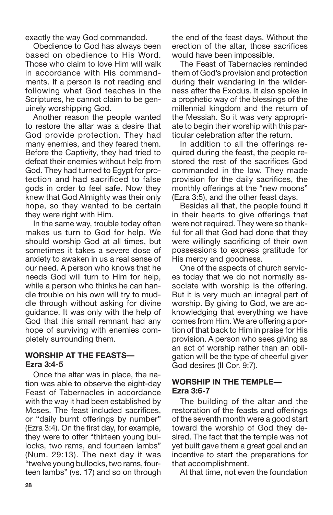exactly the way God commanded.

Obedience to God has always been based on obedience to His Word. Those who claim to love Him will walk in accordance with His commandments. If a person is not reading and following what God teaches in the Scriptures, he cannot claim to be genuinely worshipping God.

Another reason the people wanted to restore the altar was a desire that God provide protection. They had many enemies, and they feared them. Before the Captivity, they had tried to defeat their enemies without help from God. They had turned to Egypt for protection and had sacrificed to false gods in order to feel safe. Now they knew that God Almighty was their only hope, so they wanted to be certain they were right with Him.

In the same way, trouble today often makes us turn to God for help. We should worship God at all times, but sometimes it takes a severe dose of anxiety to awaken in us a real sense of our need. A person who knows that he needs God will turn to Him for help, while a person who thinks he can handle trouble on his own will try to muddle through without asking for divine guidance. It was only with the help of God that this small remnant had any hope of surviving with enemies completely surrounding them.

### **WORSHIP AT THE FEASTS— Ezra 3:4-5**

Once the altar was in place, the nation was able to observe the eight-day Feast of Tabernacles in accordance with the way it had been established by Moses. The feast included sacrifices, or "daily burnt offerings by number" (Ezra 3:4). On the first day, for example, they were to offer "thirteen young bullocks, two rams, and fourteen lambs" (Num. 29:13). The next day it was "twelve young bullocks, two rams, fourteen lambs" (vs. 17) and so on through the end of the feast days. Without the erection of the altar, those sacrifices would have been impossible.

The Feast of Tabernacles reminded them of God's provision and protection during their wandering in the wilderness after the Exodus. It also spoke in a prophetic way of the blessings of the millennial kingdom and the return of the Messiah. So it was very appropriate to begin their worship with this particular celebration after the return.

In addition to all the offerings required during the feast, the people restored the rest of the sacrifices God commanded in the law. They made provision for the daily sacrifices, the monthly offerings at the "new moons" (Ezra 3:5), and the other feast days.

Besides all that, the people found it in their hearts to give offerings that were not required. They were so thankful for all that God had done that they were willingly sacrificing of their own possessions to express gratitude for His mercy and goodness.

One of the aspects of church services today that we do not normally associate with worship is the offering. But it is very much an integral part of worship. By giving to God, we are acknowledging that everything we have comes from Him. We are offering a portion of that back to Him in praise for His provision. A person who sees giving as an act of worship rather than an obligation will be the type of cheerful giver God desires (II Cor. 9:7).

### **WORSHIP IN THE TEMPLE— Ezra 3:6-7**

The building of the altar and the restoration of the feasts and offerings of the seventh month were a good start toward the worship of God they desired. The fact that the temple was not yet built gave them a great goal and an incentive to start the preparations for that accomplishment.

At that time, not even the foundation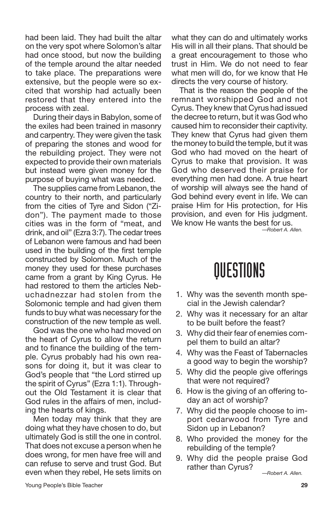had been laid. They had built the altar on the very spot where Solomon's altar had once stood, but now the building of the temple around the altar needed to take place. The preparations were extensive, but the people were so excited that worship had actually been restored that they entered into the process with zeal.

During their days in Babylon, some of the exiles had been trained in masonry and carpentry. They were given the task of preparing the stones and wood for the rebuilding project. They were not expected to provide their own materials but instead were given money for the purpose of buying what was needed.

The supplies came from Lebanon, the country to their north, and particularly from the cities of Tyre and Sidon ("Zidon"). The payment made to those cities was in the form of "meat, and drink, and oil" (Ezra 3:7). The cedar trees of Lebanon were famous and had been used in the building of the first temple constructed by Solomon. Much of the money they used for these purchases came from a grant by King Cyrus. He had restored to them the articles Nebuchadnezzar had stolen from the Solomonic temple and had given them funds to buy what was necessary for the construction of the new temple as well.

God was the one who had moved on the heart of Cyrus to allow the return and to finance the building of the temple. Cyrus probably had his own reasons for doing it, but it was clear to God's people that "the Lord stirred up the spirit of Cyrus" (Ezra 1:1). Throughout the Old Testament it is clear that God rules in the affairs of men, including the hearts of kings.

Men today may think that they are doing what they have chosen to do, but ultimately God is still the one in control. That does not excuse a person when he does wrong, for men have free will and can refuse to serve and trust God. But even when they rebel, He sets limits on what they can do and ultimately works His will in all their plans. That should be a great encouragement to those who trust in Him. We do not need to fear what men will do, for we know that He directs the very course of history.

That is the reason the people of the remnant worshipped God and not Cyrus. They knew that Cyrus had issued the decree to return, but it was God who caused him to reconsider their captivity. They knew that Cyrus had given them the money to build the temple, but it was God who had moved on the heart of Cyrus to make that provision. It was God who deserved their praise for everything men had done. A true heart of worship will always see the hand of God behind every event in life. We can praise Him for His protection, for His provision, and even for His judgment. We know He wants the best for us.

*—Robert A. Allen.*

- 1. Why was the seventh month special in the Jewish calendar?
- 2. Why was it necessary for an altar to be built before the feast?
- 3. Why did their fear of enemies compel them to build an altar?
- 4. Why was the Feast of Tabernacles a good way to begin the worship?
- 5. Why did the people give offerings that were not required?
- 6. How is the giving of an offering today an act of worship?
- 7. Why did the people choose to import cedarwood from Tyre and Sidon up in Lebanon?
- 8. Who provided the money for the rebuilding of the temple?
- 9. Why did the people praise God rather than Cyrus? *—Robert A. Allen.*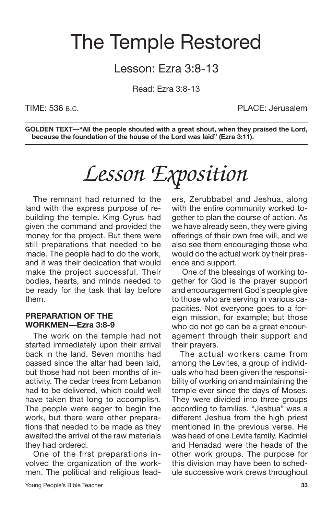## The Temple Restored

## Lesson: Ezra 3:8-13

Read: Ezra 3:8-13

TIME: 536 B.C. PLACE: Jerusalem

**GOLDEN TEXT—"All the people shouted with a great shout, when they praised the Lord, because the foundation of the house of the Lord was laid" (Ezra 3:11).**

# *Lesson Exposition*

The remnant had returned to the land with the express purpose of rebuilding the temple. King Cyrus had given the command and provided the money for the project. But there were still preparations that needed to be made. The people had to do the work, and it was their dedication that would make the project successful. Their bodies, hearts, and minds needed to be ready for the task that lay before them.

#### **PREPARATION OF THE WORKMEN—Ezra 3:8-9**

The work on the temple had not started immediately upon their arrival back in the land. Seven months had passed since the altar had been laid, but those had not been months of inactivity. The cedar trees from Lebanon had to be delivered, which could well have taken that long to accomplish. The people were eager to begin the work, but there were other preparations that needed to be made as they awaited the arrival of the raw materials they had ordered.

One of the first preparations involved the organization of the workmen. The political and religious leaders, Zerubbabel and Jeshua, along with the entire community worked together to plan the course of action. As we have already seen, they were giving offerings of their own free will, and we also see them encouraging those who would do the actual work by their presence and support. One of the blessings of working to-

gether for God is the prayer support and encouragement God's people give to those who are serving in various capacities. Not everyone goes to a foreign mission, for example; but those who do not go can be a great encouragement through their support and their prayers.

The actual workers came from among the Levites, a group of individuals who had been given the responsibility of working on and maintaining the temple ever since the days of Moses. They were divided into three groups according to families. "Jeshua" was a different Jeshua from the high priest mentioned in the previous verse. He was head of one Levite family. Kadmiel and Henadad were the heads of the other work groups. The purpose for this division may have been to schedule successive work crews throughout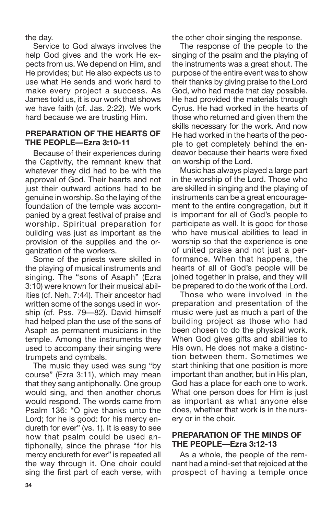the day.

Service to God always involves the help God gives and the work He expects from us. We depend on Him, and He provides; but He also expects us to use what He sends and work hard to make every project a success. As James told us, it is our work that shows we have faith (cf. Jas. 2:22). We work hard because we are trusting Him.

### **PREPARATION OF THE HEARTS OF THE PEOPLE—Ezra 3:10-11**

Because of their experiences during the Captivity, the remnant knew that whatever they did had to be with the approval of God. Their hearts and not just their outward actions had to be genuine in worship. So the laying of the foundation of the temple was accompanied by a great festival of praise and worship. Spiritual preparation for building was just as important as the provision of the supplies and the organization of the workers.

Some of the priests were skilled in the playing of musical instruments and singing. The "sons of Asaph" (Ezra 3:10) were known for their musical abilities (cf. Neh. 7:44). Their ancestor had written some of the songs used in worship (cf. Pss. 79—82). David himself had helped plan the use of the sons of Asaph as permanent musicians in the temple. Among the instruments they used to accompany their singing were trumpets and cymbals.

The music they used was sung "by course" (Ezra 3:11), which may mean that they sang antiphonally. One group would sing, and then another chorus would respond. The words came from Psalm 136: "O give thanks unto the Lord; for he is good: for his mercy endureth for ever" (vs. 1). It is easy to see how that psalm could be used antiphonally, since the phrase "for his mercy endureth for ever" is repeated all the way through it. One choir could sing the first part of each verse, with the other choir singing the response.

The response of the people to the singing of the psalm and the playing of the instruments was a great shout. The purpose of the entire event was to show their thanks by giving praise to the Lord God, who had made that day possible. He had provided the materials through Cyrus. He had worked in the hearts of those who returned and given them the skills necessary for the work. And now He had worked in the hearts of the people to get completely behind the endeavor because their hearts were fixed on worship of the Lord.

Music has always played a large part in the worship of the Lord. Those who are skilled in singing and the playing of instruments can be a great encouragement to the entire congregation, but it is important for all of God's people to participate as well. It is good for those who have musical abilities to lead in worship so that the experience is one of united praise and not just a performance. When that happens, the hearts of all of God's people will be joined together in praise, and they will be prepared to do the work of the Lord.

Those who were involved in the preparation and presentation of the music were just as much a part of the building project as those who had been chosen to do the physical work. When God gives gifts and abilities to His own, He does not make a distinction between them. Sometimes we start thinking that one position is more important than another, but in His plan, God has a place for each one to work. What one person does for Him is just as important as what anyone else does, whether that work is in the nursery or in the choir.

### **PREPARATION OF THE MINDS OF THE PEOPLE—Ezra 3:12-13**

As a whole, the people of the remnant had a mind-set that rejoiced at the prospect of having a temple once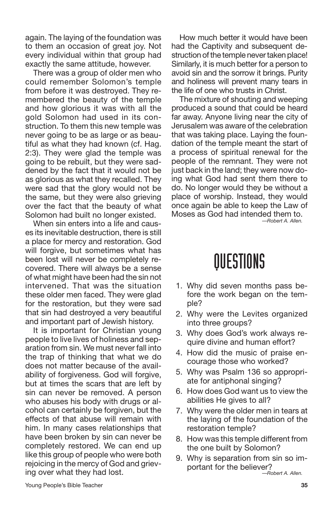again. The laying of the foundation was to them an occasion of great joy. Not every individual within that group had exactly the same attitude, however.

There was a group of older men who could remember Solomon's temple from before it was destroyed. They remembered the beauty of the temple and how glorious it was with all the gold Solomon had used in its construction. To them this new temple was never going to be as large or as beautiful as what they had known (cf. Hag. 2:3). They were glad the temple was going to be rebuilt, but they were saddened by the fact that it would not be as glorious as what they recalled. They were sad that the glory would not be the same, but they were also grieving over the fact that the beauty of what Solomon had built no longer existed.

When sin enters into a life and causes its inevitable destruction, there is still a place for mercy and restoration. God will forgive, but sometimes what has been lost will never be completely recovered. There will always be a sense of what might have been had the sin not intervened. That was the situation these older men faced. They were glad for the restoration, but they were sad that sin had destroyed a very beautiful and important part of Jewish history.

It is important for Christian young people to live lives of holiness and separation from sin. We must never fall into the trap of thinking that what we do does not matter because of the availability of forgiveness. God will forgive, but at times the scars that are left by sin can never be removed. A person who abuses his body with drugs or alcohol can certainly be forgiven, but the effects of that abuse will remain with him. In many cases relationships that have been broken by sin can never be completely restored. We can end up like this group of people who were both rejoicing in the mercy of God and grieving over what they had lost.

How much better it would have been had the Captivity and subsequent destruction of the temple never taken place! Similarly, it is much better for a person to avoid sin and the sorrow it brings. Purity and holiness will prevent many tears in the life of one who trusts in Christ.

The mixture of shouting and weeping produced a sound that could be heard far away. Anyone living near the city of Jerusalem was aware of the celebration that was taking place. Laying the foundation of the temple meant the start of a process of spiritual renewal for the people of the remnant. They were not just back in the land; they were now doing what God had sent them there to do. No longer would they be without a place of worship. Instead, they would once again be able to keep the Law of Moses as God had intended them to. *—Robert A. Allen.*

- 1. Why did seven months pass before the work began on the temple?
- 2. Why were the Levites organized into three groups?
- 3. Why does God's work always require divine and human effort?
- 4. How did the music of praise encourage those who worked?
- 5. Why was Psalm 136 so appropriate for antiphonal singing?
- 6. How does God want us to view the abilities He gives to all?
- 7. Why were the older men in tears at the laying of the foundation of the restoration temple?
- 8. How was this temple different from the one built by Solomon?
- 9. Why is separation from sin so important for the believer? *—Robert A. Allen.*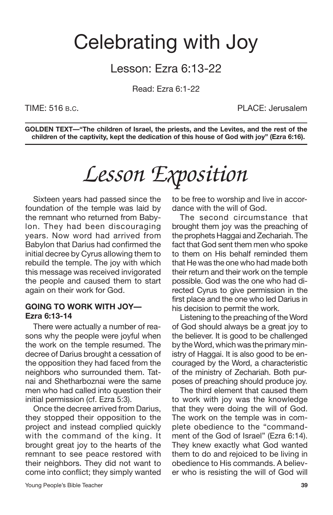## Celebrating with Joy

## Lesson: Ezra 6:13-22

Read: Ezra 6:1-22

TIME: 516 B.C. PLACE: Jerusalem

**GOLDEN TEXT—"The children of Israel, the priests, and the Levites, and the rest of the children of the captivity, kept the dedication of this house of God with joy" (Ezra 6:16).**

# *Lesson Exposition*

Sixteen years had passed since the foundation of the temple was laid by the remnant who returned from Babylon. They had been discouraging years. Now word had arrived from Babylon that Darius had confirmed the initial decree by Cyrus allowing them to rebuild the temple. The joy with which this message was received invigorated the people and caused them to start again on their work for God.

#### **GOING TO WORK WITH JOY— Ezra 6:13-14**

There were actually a number of reasons why the people were joyful when the work on the temple resumed. The decree of Darius brought a cessation of the opposition they had faced from the neighbors who surrounded them. Tatnai and Shetharboznai were the same men who had called into question their initial permission (cf. Ezra 5:3).

Once the decree arrived from Darius, they stopped their opposition to the project and instead complied quickly with the command of the king. It brought great joy to the hearts of the remnant to see peace restored with their neighbors. They did not want to come into conflict; they simply wanted to be free to worship and live in accordance with the will of God.

The second circumstance that brought them joy was the preaching of the prophets Haggai and Zechariah. The fact that God sent them men who spoke to them on His behalf reminded them that He was the one who had made both their return and their work on the temple possible. God was the one who had directed Cyrus to give permission in the first place and the one who led Darius in his decision to permit the work.

Listening to the preaching of the Word of God should always be a great joy to the believer. It is good to be challenged by the Word, which was the primary ministry of Haggai. It is also good to be encouraged by the Word, a characteristic of the ministry of Zechariah. Both purposes of preaching should produce joy.

The third element that caused them to work with joy was the knowledge that they were doing the will of God. The work on the temple was in complete obedience to the "commandment of the God of Israel" (Ezra 6:14). They knew exactly what God wanted them to do and rejoiced to be living in obedience to His commands. A believer who is resisting the will of God will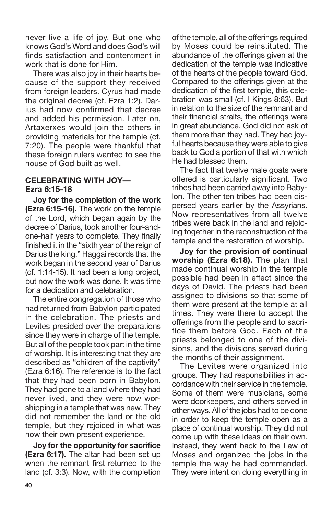never live a life of joy. But one who knows God's Word and does God's will finds satisfaction and contentment in work that is done for Him.

There was also joy in their hearts because of the support they received from foreign leaders. Cyrus had made the original decree (cf. Ezra 1:2). Darius had now confirmed that decree and added his permission. Later on, Artaxerxes would join the others in providing materials for the temple (cf. 7:20). The people were thankful that these foreign rulers wanted to see the house of God built as well.

### **CELEBRATING WITH JOY— Ezra 6:15-18**

**Joy for the completion of the work (Ezra 6:15-16).** The work on the temple of the Lord, which began again by the decree of Darius, took another four-andone-half years to complete. They finally finished it in the "sixth year of the reign of Darius the king." Haggai records that the work began in the second year of Darius (cf. 1:14-15). It had been a long project, but now the work was done. It was time for a dedication and celebration.

The entire congregation of those who had returned from Babylon participated in the celebration. The priests and Levites presided over the preparations since they were in charge of the temple. But all of the people took part in the time of worship. It is interesting that they are described as "children of the captivity" (Ezra 6:16). The reference is to the fact that they had been born in Babylon. They had gone to a land where they had never lived, and they were now worshipping in a temple that was new. They did not remember the land or the old temple, but they rejoiced in what was now their own present experience.

**Joy for the opportunity for sacrifice (Ezra 6:17).** The altar had been set up when the remnant first returned to the land (cf. 3:3). Now, with the completion of the temple, all of the offerings required by Moses could be reinstituted. The abundance of the offerings given at the dedication of the temple was indicative of the hearts of the people toward God. Compared to the offerings given at the dedication of the first temple, this celebration was small (cf. I Kings 8:63). But in relation to the size of the remnant and their financial straits, the offerings were in great abundance. God did not ask of them more than they had. They had joyful hearts because they were able to give back to God a portion of that with which He had blessed them.

The fact that twelve male goats were offered is particularly significant. Two tribes had been carried away into Babylon. The other ten tribes had been dispersed years earlier by the Assyrians. Now representatives from all twelve tribes were back in the land and rejoicing together in the reconstruction of the temple and the restoration of worship.

**Joy for the provision of continual worship (Ezra 6:18).** The plan that made continual worship in the temple possible had been in effect since the days of David. The priests had been assigned to divisions so that some of them were present at the temple at all times. They were there to accept the offerings from the people and to sacrifice them before God. Each of the priests belonged to one of the divisions, and the divisions served during the months of their assignment.

The Levites were organized into groups. They had responsibilities in accordance with their service in the temple. Some of them were musicians, some were doorkeepers, and others served in other ways.All ofthe jobs had to be done in order to keep the temple open as a place of continual worship. They did not come up with these ideas on their own. Instead, they went back to the Law of Moses and organized the jobs in the temple the way he had commanded. They were intent on doing everything in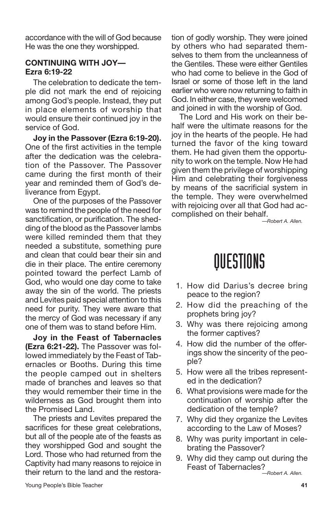accordance with the will of God because He was the one they worshipped.

### **CONTINUING WITH JOY— Ezra 6:19-22**

The celebration to dedicate the temple did not mark the end of rejoicing among God's people. Instead, they put in place elements of worship that would ensure their continued joy in the service of God.

**Joy in the Passover (Ezra 6:19-20).** One of the first activities in the temple after the dedication was the celebration of the Passover. The Passover came during the first month of their year and reminded them of God's deliverance from Egypt.

One of the purposes of the Passover was to remind the people of the need for sanctification, or purification. The shedding of the blood as the Passover lambs were killed reminded them that they needed a substitute, something pure and clean that could bear their sin and die in their place. The entire ceremony pointed toward the perfect Lamb of God, who would one day come to take away the sin of the world. The priests and Levites paid special attention to this need for purity. They were aware that the mercy of God was necessary if any one of them was to stand before Him.

**Joy in the Feast of Tabernacles (Ezra 6:21-22).** The Passover was followed immediately by the Feast of Tabernacles or Booths. During this time the people camped out in shelters made of branches and leaves so that they would remember their time in the wilderness as God brought them into the Promised Land.

The priests and Levites prepared the sacrifices for these great celebrations, but all of the people ate of the feasts as they worshipped God and sought the Lord. Those who had returned from the Captivity had many reasons to rejoice in their return to the land and the restoration of godly worship. They were joined by others who had separated themselves to them from the uncleanness of the Gentiles. These were either Gentiles who had come to believe in the God of Israel or some of those left in the land earlier who were now returning to faith in God. In either case, they were welcomed and joined in with the worship of God.

The Lord and His work on their behalf were the ultimate reasons for the joy in the hearts of the people. He had turned the favor of the king toward them. He had given them the opportunity to work on the temple. Now He had given them the privilege of worshipping Him and celebrating their forgiveness by means of the sacrificial system in the temple. They were overwhelmed with rejoicing over all that God had accomplished on their behalf.

*—Robert A. Allen.*

- 1. How did Darius's decree bring peace to the region?
- 2. How did the preaching of the prophets bring joy?
- 3. Why was there rejoicing among the former captives?
- 4. How did the number of the offerings show the sincerity of the people?
- 5. How were all the tribes represented in the dedication?
- 6. What provisions were made for the continuation of worship after the dedication of the temple?
- 7. Why did they organize the Levites according to the Law of Moses?
- 8. Why was purity important in celebrating the Passover?
- 9. Why did they camp out during the Feast of Tabernacles? *—Robert A. Allen.*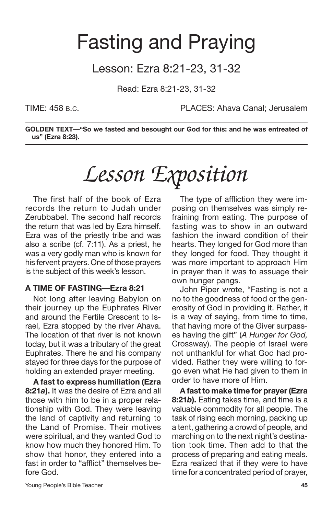## Fasting and Praying

## Lesson: Ezra 8:21-23, 31-32

Read: Ezra 8:21-23, 31-32

TIME: 458 B.C. PLACES: Ahava Canal; Jerusalem

**GOLDEN TEXT—"So we fasted and besought our God for this: and he was entreated of us" (Ezra 8:23).**

# *Lesson Exposition*

The first half of the book of Ezra records the return to Judah under Zerubbabel. The second half records the return that was led by Ezra himself. Ezra was of the priestly tribe and was also a scribe (cf. 7:11). As a priest, he was a very godly man who is known for his fervent prayers. One of those prayers is the subject of this week's lesson.

## **A TIME OF FASTING—Ezra 8:21**

Not long after leaving Babylon on their journey up the Euphrates River and around the Fertile Crescent to Israel, Ezra stopped by the river Ahava. The location of that river is not known today, but it was a tributary of the great Euphrates. There he and his company stayed for three days for the purpose of holding an extended prayer meeting.

**A fast to express humiliation (Ezra 8:21***a***).** It was the desire of Ezra and all those with him to be in a proper relationship with God. They were leaving the land of captivity and returning to the Land of Promise. Their motives were spiritual, and they wanted God to know how much they honored Him. To show that honor, they entered into a fast in order to "afflict" themselves before God.

The type of affliction they were imposing on themselves was simply refraining from eating. The purpose of fasting was to show in an outward fashion the inward condition of their hearts. They longed for God more than they longed for food. They thought it was more important to approach Him in prayer than it was to assuage their own hunger pangs.

John Piper wrote, "Fasting is not a no to the goodness of food or the generosity of God in providing it. Rather, it is a way of saying, from time to time, that having more of the Giver surpasses having the gift" (*A Hunger for God,* Crossway). The people of Israel were not unthankful for what God had provided. Rather they were willing to forgo even what He had given to them in order to have more of Him.

**A fast to make time for prayer(Ezra 8:21***b***).** Eating takes time, and time is a valuable commodity for all people. The task of rising each morning, packing up a tent, gathering a crowd of people, and marching on to the next night's destination took time. Then add to that the process of preparing and eating meals. Ezra realized that if they were to have time for a concentrated period of prayer,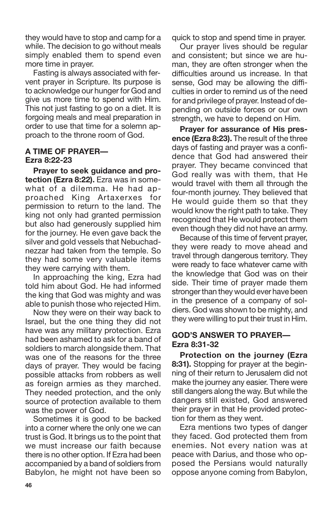they would have to stop and camp for a while. The decision to go without meals simply enabled them to spend even more time in prayer.

Fasting is always associated with fervent prayer in Scripture. Its purpose is to acknowledge our hunger for God and give us more time to spend with Him. This not just fasting to go on a diet. It is forgoing meals and meal preparation in order to use that time for a solemn approach to the throne room of God.

### **A TIME OF PRAYER— Ezra 8:22-23**

**Prayer to seek guidance and protection (Ezra 8:22).** Ezra was in somewhat of a dilemma. He had approached King Artaxerxes for permission to return to the land. The king not only had granted permission but also had generously supplied him for the journey. He even gave back the silver and gold vessels that Nebuchadnezzar had taken from the temple. So they had some very valuable items they were carrying with them.

In approaching the king, Ezra had told him about God. He had informed the king that God was mighty and was able to punish those who rejected Him.

Now they were on their way back to Israel, but the one thing they did not have was any military protection. Ezra had been ashamed to ask for a band of soldiers to march alongside them. That was one of the reasons for the three days of prayer. They would be facing possible attacks from robbers as well as foreign armies as they marched. They needed protection, and the only source of protection available to them was the power of God.

Sometimes it is good to be backed into a corner where the only one we can trust is God. It brings us to the point that we must increase our faith because there is no other option. If Ezra had been accompanied by a band of soldiers from Babylon, he might not have been so quick to stop and spend time in prayer.

Our prayer lives should be regular and consistent; but since we are human, they are often stronger when the difficulties around us increase. In that sense, God may be allowing the difficulties in order to remind us of the need for and privilege of prayer. Instead of depending on outside forces or our own strength, we have to depend on Him.

**Prayer for assurance of His presence (Ezra 8:23).** The result of the three days of fasting and prayer was a confidence that God had answered their prayer. They became convinced that God really was with them, that He would travel with them all through the four-month journey. They believed that He would guide them so that they would know the right path to take. They recognized that He would protect them even though they did not have an army.

Because of this time of fervent prayer, they were ready to move ahead and travel through dangerous territory. They were ready to face whatever came with the knowledge that God was on their side. Their time of prayer made them stronger than they would ever have been in the presence of a company of soldiers. God was shown to be mighty, and they were willing to put their trust in Him.

#### **GOD'S ANSWER TO PRAYER— Ezra 8:31-32**

**Protection on the journey (Ezra 8:31).** Stopping for prayer at the beginning of their return to Jerusalem did not make the journey any easier. There were still dangers along the way. But while the dangers still existed, God answered their prayer in that He provided protection for them as they went.

Ezra mentions two types of danger they faced. God protected them from enemies. Not every nation was at peace with Darius, and those who opposed the Persians would naturally oppose anyone coming from Babylon,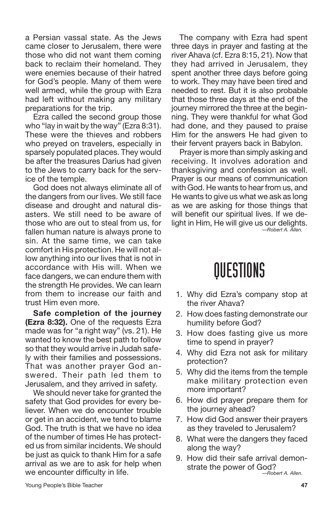a Persian vassal state. As the Jews came closer to Jerusalem, there were those who did not want them coming back to reclaim their homeland. They were enemies because of their hatred for God's people. Many of them were well armed, while the group with Ezra had left without making any military preparations for the trip.

Ezra called the second group those who "lay in wait by the way" (Ezra 8:31). These were the thieves and robbers who preyed on travelers, especially in sparsely populated places. They would be after the treasures Darius had given to the Jews to carry back for the service of the temple.

God does not always eliminate all of the dangers from our lives. We still face disease and drought and natural disasters. We still need to be aware of those who are out to steal from us, for fallen human nature is always prone to sin. At the same time, we can take comfort in His protection. He will not allow anything into our lives that is not in accordance with His will. When we face dangers, we can endure them with the strength He provides. We can learn from them to increase our faith and trust Him even more.

**Safe completion of the journey (Ezra 8:32).** One of the requests Ezra made was for "a right way" (vs. 21). He wanted to know the best path to follow so that they would arrive in Judah safely with their families and possessions. That was another prayer God answered. Their path led them to Jerusalem, and they arrived in safety.

We should never take for granted the safety that God provides for every believer. When we do encounter trouble or get in an accident, we tend to blame God. The truth is that we have no idea of the number of times He has protected us from similar incidents. We should be just as quick to thank Him for a safe arrival as we are to ask for help when we encounter difficulty in life.

The company with Ezra had spent three days in prayer and fasting at the river Ahava (cf. Ezra 8:15, 21). Now that they had arrived in Jerusalem, they spent another three days before going to work. They may have been tired and needed to rest. But it is also probable that those three days at the end of the journey mirrored the three at the beginning. They were thankful for what God had done, and they paused to praise Him for the answers He had given to their fervent prayers back in Babylon.

Prayer is more than simply asking and receiving. It involves adoration and thanksgiving and confession as well. Prayer is our means of communication with God. He wants to hear from us, and He wants to give us what we ask as long as we are asking for those things that will benefit our spiritual lives. If we delight in Him, He will give us our delights. *—Robert A. Allen.*

- 1. Why did Ezra's company stop at the river Ahava?
- 2. How does fasting demonstrate our humility before God?
- 3. How does fasting give us more time to spend in prayer?
- 4. Why did Ezra not ask for military protection?
- 5. Why did the items from the temple make military protection even more important?
- 6. How did prayer prepare them for the journey ahead?
- 7. How did God answer their prayers as they traveled to Jerusalem?
- 8. What were the dangers they faced along the way?
- 9. How did their safe arrival demonstrate the power of God? *—Robert A. Allen.*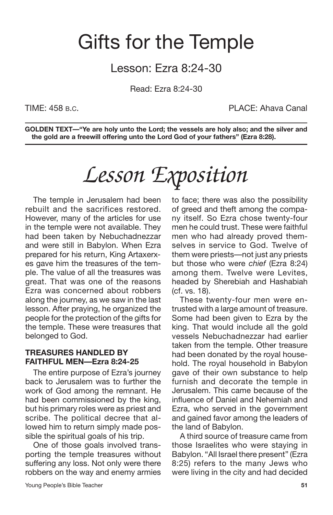## Gifts for the Temple

## Lesson: Ezra 8:24-30

Read: Ezra 8:24-30

TIME: 458 B.C. PLACE: Ahava Canal

**GOLDEN TEXT—"Ye are holy unto the Lord; the vessels are holy also; and the silver and the gold are a freewill offering unto the Lord God of your fathers" (Ezra 8:28).**

# *Lesson Exposition*

The temple in Jerusalem had been rebuilt and the sacrifices restored. However, many of the articles for use in the temple were not available. They had been taken by Nebuchadnezzar and were still in Babylon. When Ezra prepared for his return, King Artaxerxes gave him the treasures of the temple. The value of all the treasures was great. That was one of the reasons Ezra was concerned about robbers along the journey, as we saw in the last lesson. After praying, he organized the people for the protection of the gifts for the temple. These were treasures that belonged to God.

## **TREASURES HANDLED BY FAITHFUL MEN—Ezra 8:24-25**

The entire purpose of Ezra's journey back to Jerusalem was to further the work of God among the remnant. He had been commissioned by the king, but his primary roles were as priest and scribe. The political decree that allowed him to return simply made possible the spiritual goals of his trip.

One of those goals involved transporting the temple treasures without suffering any loss. Not only were there robbers on the way and enemy armies to face; there was also the possibility of greed and theft among the company itself. So Ezra chose twenty-four men he could trust. These were faithful men who had already proved themselves in service to God. Twelve of them were priests—not just any priests but those who were *chief* (Ezra 8:24) among them. Twelve were Levites, headed by Sherebiah and Hashabiah (cf. vs. 18).

These twenty-four men were entrusted with a large amount of treasure. Some had been given to Ezra by the king. That would include all the gold vessels Nebuchadnezzar had earlier taken from the temple. Other treasure had been donated by the royal household. The royal household in Babylon gave of their own substance to help furnish and decorate the temple in Jerusalem. This came because of the influence of Daniel and Nehemiah and Ezra, who served in the government and gained favor among the leaders of the land of Babylon.

A third source of treasure came from those Israelites who were staying in Babylon. "All Israel there present" (Ezra 8:25) refers to the many Jews who were living in the city and had decided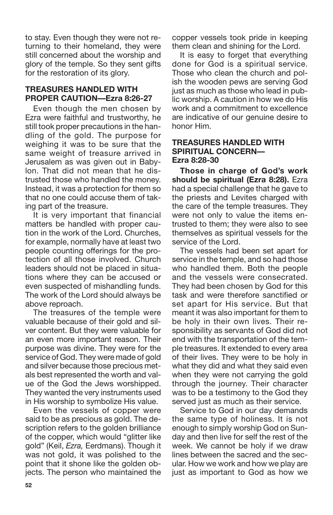to stay. Even though they were not returning to their homeland, they were still concerned about the worship and glory of the temple. So they sent gifts for the restoration of its glory.

### **TREASURES HANDLED WITH PROPER CAUTION—Ezra 8:26-27**

Even though the men chosen by Ezra were faithful and trustworthy, he still took proper precautions in the handling of the gold. The purpose for weighing it was to be sure that the same weight of treasure arrived in Jerusalem as was given out in Babylon. That did not mean that he distrusted those who handled the money. Instead, it was a protection for them so that no one could accuse them of taking part of the treasure.

It is very important that financial matters be handled with proper caution in the work of the Lord. Churches, for example, normally have at least two people counting offerings for the protection of all those involved. Church leaders should not be placed in situations where they can be accused or even suspected of mishandling funds. The work of the Lord should always be above reproach.

The treasures of the temple were valuable because of their gold and silver content. But they were valuable for an even more important reason. Their purpose was divine. They were for the service of God. They were made of gold and silver because those precious metals best represented the worth and value of the God the Jews worshipped. They wanted the very instruments used in His worship to symbolize His value.

Even the vessels of copper were said to be as precious as gold. The description refers to the golden brilliance of the copper, which would "glitter like gold" (Keil, *Ezra,* Eerdmans). Though it was not gold, it was polished to the point that it shone like the golden objects. The person who maintained the copper vessels took pride in keeping them clean and shining for the Lord.

It is easy to forget that everything done for God is a spiritual service. Those who clean the church and polish the wooden pews are serving God just as much as those who lead in public worship. A caution in how we do His work and a commitment to excellence are indicative of our genuine desire to honor Him.

### **TREASURES HANDLED WITH SPIRITUAL CONCERN— Ezra 8:28-30**

**Those in charge of God's work should be spiritual (Ezra 8:28).** Ezra had a special challenge that he gave to the priests and Levites charged with the care of the temple treasures. They were not only to value the items entrusted to them; they were also to see themselves as spiritual vessels for the service of the Lord.

The vessels had been set apart for service in the temple, and so had those who handled them. Both the people and the vessels were consecrated. They had been chosen by God for this task and were therefore sanctified or set apart for His service. But that meant it was also important for them to be holy in their own lives. Their responsibility as servants of God did not end with the transportation of the temple treasures. It extended to every area of their lives. They were to be holy in what they did and what they said even when they were not carrying the gold through the journey. Their character was to be a testimony to the God they served just as much as their service.

Service to God in our day demands the same type of holiness. It is not enough to simply worship God on Sunday and then live for self the rest of the week. We cannot be holy if we draw lines between the sacred and the secular. How we work and how we play are just as important to God as how we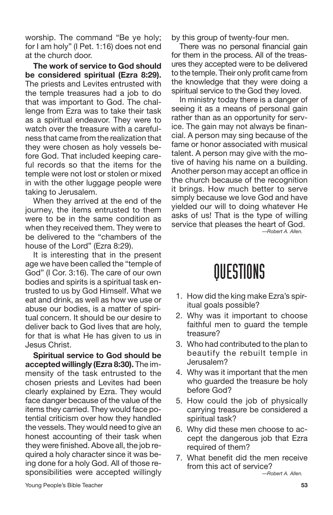worship. The command "Be ye holy; for I am holy" (I Pet. 1:16) does not end at the church door.

**The work of service to God should be considered spiritual (Ezra 8:29).** The priests and Levites entrusted with the temple treasures had a job to do that was important to God. The challenge from Ezra was to take their task as a spiritual endeavor. They were to watch over the treasure with a carefulness that came from the realization that they were chosen as holy vessels before God. That included keeping careful records so that the items for the temple were not lost or stolen or mixed in with the other luggage people were taking to Jerusalem.

When they arrived at the end of the journey, the items entrusted to them were to be in the same condition as when they received them. They were to be delivered to the "chambers of the house of the Lord" (Ezra 8:29).

It is interesting that in the present age we have been called the "temple of God" (I Cor. 3:16). The care of our own bodies and spirits is a spiritual task entrusted to us by God Himself. What we eat and drink, as well as how we use or abuse our bodies, is a matter of spiritual concern. It should be our desire to deliver back to God lives that are holy, for that is what He has given to us in Jesus Christ.

**Spiritual service to God should be accepted willingly (Ezra 8:30).** The immensity of the task entrusted to the chosen priests and Levites had been clearly explained by Ezra. They would face danger because of the value of the items they carried. They would face potential criticism over how they handled the vessels. They would need to give an honest accounting of their task when they were finished. Above all, the job required a holy character since it was being done for a holy God. All of those responsibilities were accepted willingly by this group of twenty-four men.

There was no personal financial gain for them in the process. All of the treasures they accepted were to be delivered to the temple. Their only profit came from the knowledge that they were doing a spiritual service to the God they loved.

In ministry today there is a danger of seeing it as a means of personal gain rather than as an opportunity for service. The gain may not always be financial. A person may sing because of the fame or honor associated with musical talent. A person may give with the motive of having his name on a building. Another person may accept an office in the church because of the recognition it brings. How much better to serve simply because we love God and have yielded our will to doing whatever He asks of us! That is the type of willing service that pleases the heart of God. *—Robert A. Allen.*

- 1. How did the king make Ezra's spiritual goals possible?
- 2. Why was it important to choose faithful men to guard the temple treasure?
- 3. Who had contributed to the plan to beautify the rebuilt temple in Jerusalem?
- 4. Why was it important that the men who guarded the treasure be holy before God?
- 5. How could the job of physically carrying treasure be considered a spiritual task?
- 6. Why did these men choose to accept the dangerous job that Ezra required of them?
- 7. What benefit did the men receive from this act of service? *—Robert A. Allen.*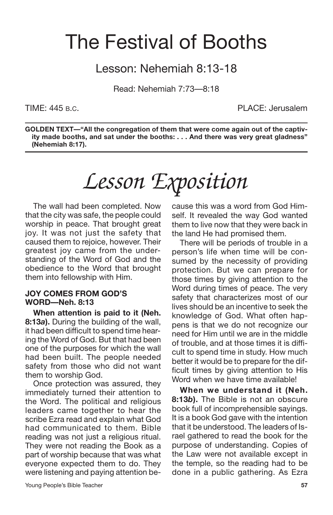## The Festival of Booths

## Lesson: Nehemiah 8:13-18

Read: Nehemiah 7:73—8:18

TIME: 445 B.C. PLACE: Jerusalem

**GOLDEN TEXT—"All the congregation of them that were come again out of the captivity made booths, and sat under the booths: . . . And there was very great gladness" (Nehemiah 8:17).**

# *Lesson Exposition*

The wall had been completed. Now that the city was safe, the people could worship in peace. That brought great joy. It was not just the safety that caused them to rejoice, however. Their greatest joy came from the understanding of the Word of God and the obedience to the Word that brought them into fellowship with Him.

#### **JOY COMES FROM GOD'S WORD—Neh. 8:13**

**When attention is paid to it (Neh. 8:13***a***).** During the building of the wall, it had been difficult to spend time hearing the Word of God. But that had been one of the purposes for which the wall had been built. The people needed safety from those who did not want them to worship God.

Once protection was assured, they immediately turned their attention to the Word. The political and religious leaders came together to hear the scribe Ezra read and explain what God had communicated to them. Bible reading was not just a religious ritual. They were not reading the Book as a part of worship because that was what everyone expected them to do. They were listening and paying attention because this was a word from God Himself. It revealed the way God wanted them to live now that they were back in the land He had promised them.

There will be periods of trouble in a person's life when time will be consumed by the necessity of providing protection. But we can prepare for those times by giving attention to the Word during times of peace. The very safety that characterizes most of our lives should be an incentive to seek the knowledge of God. What often happens is that we do not recognize our need for Him until we are in the middle of trouble, and at those times it is difficult to spend time in study. How much better it would be to prepare for the difficult times by giving attention to His Word when we have time available!

**When we understand it (Neh. 8:13***b***).** The Bible is not an obscure book full of incomprehensible sayings. It is a book God gave with the intention that it be understood. The leaders of Israel gathered to read the book for the purpose of understanding. Copies of the Law were not available except in the temple, so the reading had to be done in a public gathering. As Ezra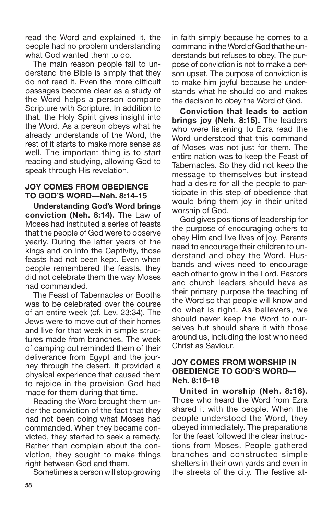read the Word and explained it, the people had no problem understanding what God wanted them to do.

The main reason people fail to understand the Bible is simply that they do not read it. Even the more difficult passages become clear as a study of the Word helps a person compare Scripture with Scripture. In addition to that, the Holy Spirit gives insight into the Word. As a person obeys what he already understands of the Word, the rest of it starts to make more sense as well. The important thing is to start reading and studying, allowing God to speak through His revelation.

#### **JOY COMES FROM OBEDIENCE TO GOD'S WORD—Neh. 8:14-15**

**Understanding God's Word brings conviction (Neh. 8:14).** The Law of Moses had instituted a series of feasts that the people of God were to observe yearly. During the latter years of the kings and on into the Captivity, those feasts had not been kept. Even when people remembered the feasts, they did not celebrate them the way Moses had commanded.

The Feast of Tabernacles or Booths was to be celebrated over the course of an entire week (cf. Lev. 23:34). The Jews were to move out of their homes and live for that week in simple structures made from branches. The week of camping out reminded them of their deliverance from Egypt and the journey through the desert. It provided a physical experience that caused them to rejoice in the provision God had made for them during that time.

Reading the Word brought them under the conviction of the fact that they had not been doing what Moses had commanded. When they became convicted, they started to seek a remedy. Rather than complain about the conviction, they sought to make things right between God and them.

Sometimes a person will stop growing

in faith simply because he comes to a command in the Word of God that he understands but refuses to obey. The purpose of conviction is not to make a person upset. The purpose of conviction is to make him joyful because he understands what he should do and makes the decision to obey the Word of God.

**Conviction that leads to action brings joy (Neh. 8:15).** The leaders who were listening to Ezra read the Word understood that this command of Moses was not just for them. The entire nation was to keep the Feast of Tabernacles. So they did not keep the message to themselves but instead had a desire for all the people to participate in this step of obedience that would bring them joy in their united worship of God.

God gives positions of leadership for the purpose of encouraging others to obey Him and live lives of joy. Parents need to encourage their children to understand and obey the Word. Husbands and wives need to encourage each other to grow in the Lord. Pastors and church leaders should have as their primary purpose the teaching of the Word so that people will know and do what is right. As believers, we should never keep the Word to ourselves but should share it with those around us, including the lost who need Christ as Saviour.

### **JOY COMES FROM WORSHIP IN OBEDIENCE TO GOD'S WORD— Neh. 8:16-18**

**United in worship (Neh. 8:16).** Those who heard the Word from Ezra shared it with the people. When the people understood the Word, they obeyed immediately. The preparations for the feast followed the clear instructions from Moses. People gathered branches and constructed simple shelters in their own yards and even in the streets of the city. The festive at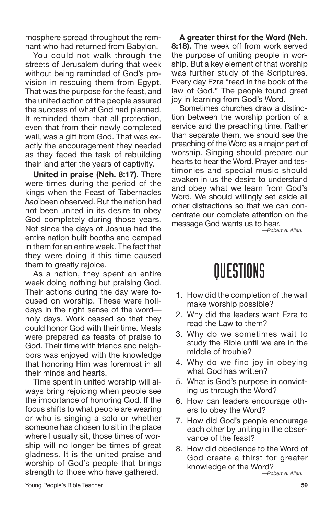mosphere spread throughout the remnant who had returned from Babylon.

You could not walk through the streets of Jerusalem during that week without being reminded of God's provision in rescuing them from Egypt. That was the purpose for the feast, and the united action of the people assured the success of what God had planned. It reminded them that all protection, even that from their newly completed wall, was a gift from God. That was exactly the encouragement they needed as they faced the task of rebuilding their land after the years of captivity.

**United in praise (Neh. 8:17).** There were times during the period of the kings when the Feast of Tabernacles *had* been observed. But the nation had not been united in its desire to obey God completely during those years. Not since the days of Joshua had the entire nation built booths and camped in them for an entire week. The fact that they were doing it this time caused them to greatly rejoice.

As a nation, they spent an entire week doing nothing but praising God. Their actions during the day were focused on worship. These were holidays in the right sense of the word holy days. Work ceased so that they could honor God with their time. Meals were prepared as feasts of praise to God. Their time with friends and neighbors was enjoyed with the knowledge that honoring Him was foremost in all their minds and hearts.

Time spent in united worship will always bring rejoicing when people see the importance of honoring God. If the focus shifts to what people are wearing or who is singing a solo or whether someone has chosen to sit in the place where I usually sit, those times of worship will no longer be times of great gladness. It is the united praise and worship of God's people that brings strength to those who have gathered.

**A greater thirst for the Word (Neh. 8:18).** The week off from work served the purpose of uniting people in worship. But a key element of that worship was further study of the Scriptures. Every day Ezra "read in the book of the law of God." The people found great joy in learning from God's Word.

Sometimes churches draw a distinction between the worship portion of a service and the preaching time. Rather than separate them, we should see the preaching of the Word as a major part of worship. Singing should prepare our hearts to hear the Word. Prayer and testimonies and special music should awaken in us the desire to understand and obey what we learn from God's Word. We should willingly set aside all other distractions so that we can concentrate our complete attention on the message God wants us to hear.

*—Robert A. Allen.*

## **OUESTIONS**

- 1. How did the completion of the wall make worship possible?
- 2. Why did the leaders want Ezra to read the Law to them?
- 3. Why do we sometimes wait to study the Bible until we are in the middle of trouble?
- 4. Why do we find joy in obeying what God has written?
- 5. What is God's purpose in convicting us through the Word?
- 6. How can leaders encourage others to obey the Word?
- 7. How did God's people encourage each other by uniting in the observance of the feast?
- 8. How did obedience to the Word of God create a thirst for greater knowledge of the Word? *—Robert A. Allen.*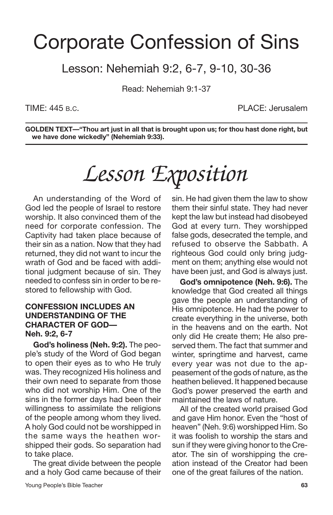## Corporate Confession of Sins

## Lesson: Nehemiah 9:2, 6-7, 9-10, 30-36

Read: Nehemiah 9:1-37

TIME: 445 B.C. PLACE: Jerusalem

**GOLDEN TEXT—"Thou art just in all that is brought upon us; for thou hast done right, but we have done wickedly" (Nehemiah 9:33).**

# *Lesson Exposition*

An understanding of the Word of God led the people of Israel to restore worship. It also convinced them of the need for corporate confession. The Captivity had taken place because of their sin as a nation. Now that they had returned, they did not want to incur the wrath of God and be faced with additional judgment because of sin. They needed to confess sin in order to be restored to fellowship with God.

### **CONFESSION INCLUDES AN UNDERSTANDING OF THE CHARACTER OF GOD— Neh. 9:2, 6-7**

**God's holiness (Neh. 9:2).** The people's study of the Word of God began to open their eyes as to who He truly was. They recognized His holiness and their own need to separate from those who did not worship Him. One of the sins in the former days had been their willingness to assimilate the religions of the people among whom they lived. A holy God could not be worshipped in the same ways the heathen worshipped their gods. So separation had to take place.

The great divide between the people and a holy God came because of their sin. He had given them the law to show them their sinful state. They had never kept the law but instead had disobeyed God at every turn. They worshipped false gods, desecrated the temple, and refused to observe the Sabbath. A righteous God could only bring judgment on them; anything else would not have been just, and God is always just.

**God's omnipotence (Neh. 9:6).** The knowledge that God created all things gave the people an understanding of His omnipotence. He had the power to create everything in the universe, both in the heavens and on the earth. Not only did He create them; He also preserved them. The fact that summer and winter, springtime and harvest, came every year was not due to the appeasement of the gods of nature, as the heathen believed. It happened because God's power preserved the earth and maintained the laws of nature.

All of the created world praised God and gave Him honor. Even the "host of heaven" (Neh. 9:6) worshipped Him. So it was foolish to worship the stars and sun if they were giving honor to the Creator. The sin of worshipping the creation instead of the Creator had been one of the great failures of the nation.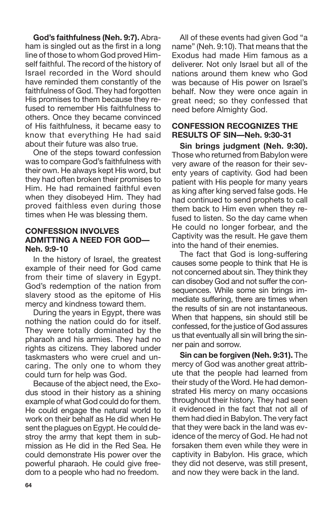**God's faithfulness (Neh. 9:7).** Abraham is singled out as the first in a long line of those to whom God proved Himself faithful. The record of the history of Israel recorded in the Word should have reminded them constantly of the faithfulness of God. They had forgotten His promises to them because they refused to remember His faithfulness to others. Once they became convinced of His faithfulness, it became easy to know that everything He had said about their future was also true.

One of the steps toward confession was to compare God's faithfulness with their own. He always kept His word, but they had often broken their promises to Him. He had remained faithful even when they disobeyed Him. They had proved faithless even during those times when He was blessing them.

### **CONFESSION INVOLVES ADMITTING A NEED FOR GOD— Neh. 9:9-10**

In the history of Israel, the greatest example of their need for God came from their time of slavery in Egypt. God's redemption of the nation from slavery stood as the epitome of His mercy and kindness toward them.

During the years in Egypt, there was nothing the nation could do for itself. They were totally dominated by the pharaoh and his armies. They had no rights as citizens. They labored under taskmasters who were cruel and uncaring. The only one to whom they could turn for help was God.

Because of the abject need, the Exodus stood in their history as a shining example of what God could do forthem. He could engage the natural world to work on their behalf as He did when He sent the plagues on Egypt. He could destroy the army that kept them in submission as He did in the Red Sea. He could demonstrate His power over the powerful pharaoh. He could give freedom to a people who had no freedom.

All of these events had given God "a name" (Neh. 9:10). That means that the Exodus had made Him famous as a deliverer. Not only Israel but all of the nations around them knew who God was because of His power on Israel's behalf. Now they were once again in great need; so they confessed that need before Almighty God.

## **CONFESSION RECOGNIZES THE RESULTS OF SIN—Neh. 9:30-31**

**Sin brings judgment (Neh. 9:30).** Those who returned from Babylon were very aware of the reason for their seventy years of captivity. God had been patient with His people for many years as king after king served false gods. He had continued to send prophets to call them back to Him even when they refused to listen. So the day came when He could no longer forbear, and the Captivity was the result. He gave them into the hand of their enemies.

The fact that God is long-suffering causes some people to think that He is not concerned about sin. They think they can disobey God and not suffer the consequences. While some sin brings immediate suffering, there are times when the results of sin are not instantaneous. When that happens, sin should still be confessed, for the justice of God assures us that eventually all sin will bring the sinner pain and sorrow.

**Sin can be forgiven (Neh. 9:31).** The mercy of God was another great attribute that the people had learned from their study of the Word. He had demonstrated His mercy on many occasions throughout their history. They had seen it evidenced in the fact that not all of them had died in Babylon. The very fact that they were back in the land was evidence of the mercy of God. He had not forsaken them even while they were in captivity in Babylon. His grace, which they did not deserve, was still present, and now they were back in the land.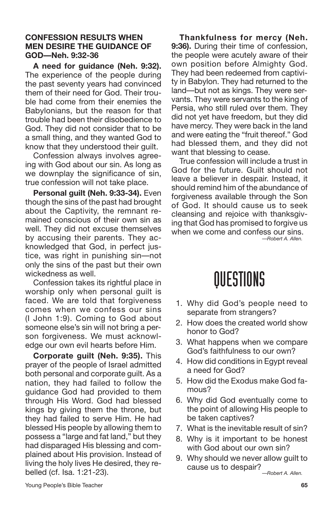### **CONFESSION RESULTS WHEN MEN DESIRE THE GUIDANCE OF GOD—Neh. 9:32-36**

**A need for guidance (Neh. 9:32).** The experience of the people during the past seventy years had convinced them of their need for God. Their trouble had come from their enemies the Babylonians, but the reason for that trouble had been their disobedience to God. They did not consider that to be a small thing, and they wanted God to know that they understood their guilt.

Confession always involves agreeing with God about our sin. As long as we downplay the significance of sin, true confession will not take place.

**Personal guilt (Neh. 9:33-34).** Even though the sins of the past had brought about the Captivity, the remnant remained conscious of their own sin as well. They did not excuse themselves by accusing their parents. They acknowledged that God, in perfect justice, was right in punishing sin—not only the sins of the past but their own wickedness as well.

Confession takes its rightful place in worship only when personal guilt is faced. We are told that forgiveness comes when we confess our sins (I John 1:9). Coming to God about someone else's sin will not bring a person forgiveness. We must acknowledge our own evil hearts before Him.

**Corporate guilt (Neh. 9:35).** This prayer of the people of Israel admitted both personal and corporate guilt. As a nation, they had failed to follow the guidance God had provided to them through His Word. God had blessed kings by giving them the throne, but they had failed to serve Him. He had blessed His people by allowing them to possess a "large and fat land," but they had disparaged His blessing and complained about His provision. Instead of living the holy lives He desired, they rebelled (cf. Isa. 1:21-23).

**Thankfulness for mercy (Neh. 9:36).** During their time of confession, the people were acutely aware of their own position before Almighty God. They had been redeemed from captivity in Babylon. They had returned to the land—but not as kings. They were servants. They were servants to the king of Persia, who still ruled over them. They did not yet have freedom, but they did have mercy. They were back in the land and were eating the "fruit thereof." God had blessed them, and they did not want that blessing to cease.

True confession will include a trust in God for the future. Guilt should not leave a believer in despair. Instead, it should remind him of the abundance of forgiveness available through the Son of God. It should cause us to seek cleansing and rejoice with thanksgiving that God has promised to forgive us when we come and confess our sins.

*—Robert A. Allen.*

- 1. Why did God's people need to separate from strangers?
- 2. How does the created world show honor to God?
- 3. What happens when we compare God's faithfulness to our own?
- 4. How did conditions in Egypt reveal a need for God?
- 5. How did the Exodus make God famous?
- 6. Why did God eventually come to the point of allowing His people to be taken captives?
- 7. What is the inevitable result of sin?
- 8. Why is it important to be honest with God about our own sin?
- 9. Why should we never allow guilt to cause us to despair? *—Robert A. Allen.*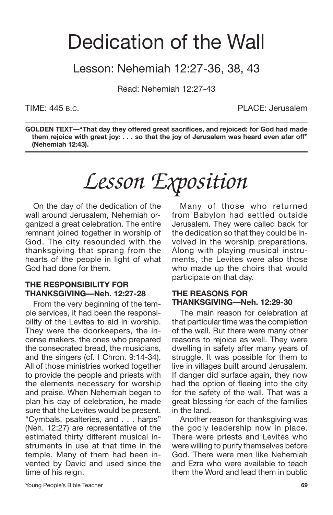## Dedication of the Wall

## Lesson: Nehemiah 12:27-36, 38, 43

Read: Nehemiah 12:27-43

TIME: 445 B.C. PLACE: Jerusalem

**GOLDEN TEXT—"That day they offered great sacrifices, and rejoiced: for God had made them rejoice with great joy: . . . so that the joy of Jerusalem was heard even afar off" (Nehemiah 12:43).**

# *Lesson Exposition*

On the day of the dedication of the wall around Jerusalem, Nehemiah organized a great celebration. The entire remnant joined together in worship of God. The city resounded with the thanksgiving that sprang from the hearts of the people in light of what God had done for them.

#### **THE RESPONSIBILITY FOR THANKSGIVING—Neh. 12:27-28**

From the very beginning of the temple services, it had been the responsibility of the Levites to aid in worship. They were the doorkeepers, the incense makers, the ones who prepared the consecrated bread, the musicians, and the singers (cf. I Chron. 9:14-34). All of those ministries worked together to provide the people and priests with the elements necessary for worship and praise. When Nehemiah began to plan his day of celebration, he made sure that the Levites would be present. "Cymbals, psalteries, and . . . harps" (Neh. 12:27) are representative of the estimated thirty different musical instruments in use at that time in the temple. Many of them had been invented by David and used since the time of his reign.

Many of those who returned from Babylon had settled outside Jerusalem. They were called back for the dedication so that they could be involved in the worship preparations. Along with playing musical instruments, the Levites were also those who made up the choirs that would participate on that day.

### **THE REASONS FOR THANKSGIVING—Neh. 12:29-30**

The main reason for celebration at that particular time was the completion of the wall. But there were many other reasons to rejoice as well. They were dwelling in safety after many years of struggle. It was possible for them to live in villages built around Jerusalem. If danger did surface again, they now had the option of fleeing into the city for the safety of the wall. That was a great blessing for each of the families in the land.

Another reason for thanksgiving was the godly leadership now in place. There were priests and Levites who were willing to purify themselves before God. There were men like Nehemiah and Ezra who were available to teach them the Word and lead them in public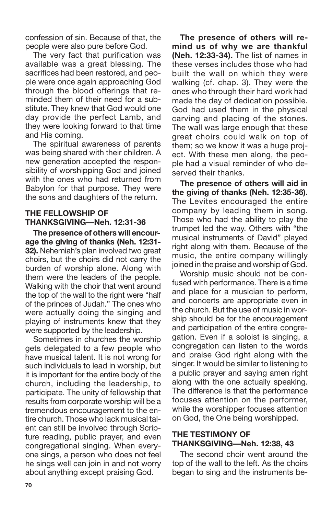confession of sin. Because of that, the people were also pure before God.

The very fact that purification was available was a great blessing. The sacrifices had been restored, and people were once again approaching God through the blood offerings that reminded them of their need for a substitute. They knew that God would one day provide the perfect Lamb, and they were looking forward to that time and His coming.

The spiritual awareness of parents was being shared with their children. A new generation accepted the responsibility of worshipping God and joined with the ones who had returned from Babylon for that purpose. They were the sons and daughters of the return.

## **THE FELLOWSHIP OF THANKSGIVING—Neh. 12:31-36**

**The presence of others will encourage the giving of thanks (Neh. 12:31- 32).** Nehemiah's plan involved two great choirs, but the choirs did not carry the burden of worship alone. Along with them were the leaders of the people. Walking with the choir that went around the top of the wall to the right were "half of the princes of Judah." The ones who were actually doing the singing and playing of instruments knew that they were supported by the leadership.

Sometimes in churches the worship gets delegated to a few people who have musical talent. It is not wrong for such individuals to lead in worship, but it is important for the entire body of the church, including the leadership, to participate. The unity of fellowship that results from corporate worship will be a tremendous encouragement to the entire church. Those who lack musical talent can still be involved through Scripture reading, public prayer, and even congregational singing. When everyone sings, a person who does not feel he sings well can join in and not worry about anything except praising God.

**The presence of others will remind us of why we are thankful (Neh. 12:33-34).** The list of names in these verses includes those who had built the wall on which they were walking (cf. chap. 3). They were the ones who through their hard work had made the day of dedication possible. God had used them in the physical carving and placing of the stones. The wall was large enough that these great choirs could walk on top of them; so we know it was a huge project. With these men along, the people had a visual reminder of who deserved their thanks.

**The presence of others will aid in the giving of thanks (Neh. 12:35-36).** The Levites encouraged the entire company by leading them in song. Those who had the ability to play the trumpet led the way. Others with "the musical instruments of David" played right along with them. Because of the music, the entire company willingly joined in the praise and worship of God.

Worship music should not be confused with performance. There is a time and place for a musician to perform, and concerts are appropriate even in the church. But the use of music in worship should be for the encouragement and participation of the entire congregation. Even if a soloist is singing, a congregation can listen to the words and praise God right along with the singer. It would be similar to listening to a public prayer and saying amen right along with the one actually speaking. The difference is that the performance focuses attention on the performer, while the worshipper focuses attention on God, the One being worshipped.

## **THE TESTIMONY OF THANKSGIVING—Neh. 12:38, 43**

The second choir went around the top of the wall to the left. As the choirs began to sing and the instruments be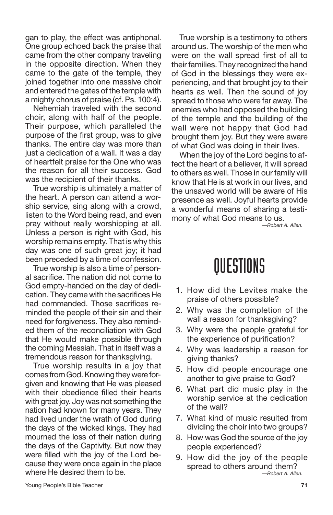gan to play, the effect was antiphonal. One group echoed back the praise that came from the other company traveling in the opposite direction. When they came to the gate of the temple, they joined together into one massive choir and entered the gates of the temple with a mighty chorus of praise (cf. Ps. 100:4).

Nehemiah traveled with the second choir, along with half of the people. Their purpose, which paralleled the purpose of the first group, was to give thanks. The entire day was more than just a dedication of a wall. It was a day of heartfelt praise for the One who was the reason for all their success. God was the recipient of their thanks.

True worship is ultimately a matter of the heart. A person can attend a worship service, sing along with a crowd, listen to the Word being read, and even pray without really worshipping at all. Unless a person is right with God, his worship remains empty. That is why this day was one of such great joy; it had been preceded by a time of confession.

True worship is also a time of personal sacrifice. The nation did not come to God empty-handed on the day of dedication. They came with the sacrifices He had commanded. Those sacrifices reminded the people of their sin and their need for forgiveness. They also reminded them of the reconciliation with God that He would make possible through the coming Messiah. That in itself was a tremendous reason for thanksgiving.

True worship results in a joy that comes from God. Knowing they were forgiven and knowing that He was pleased with their obedience filled their hearts with great joy. Joy was not something the nation had known for many years. They had lived under the wrath of God during the days of the wicked kings. They had mourned the loss of their nation during the days of the Captivity. But now they were filled with the joy of the Lord because they were once again in the place where He desired them to be.

True worship is a testimony to others around us. The worship of the men who were on the wall spread first of all to their families. They recognized the hand of God in the blessings they were experiencing, and that brought joy to their hearts as well. Then the sound of joy spread to those who were far away. The enemies who had opposed the building of the temple and the building of the wall were not happy that God had brought them joy. But they were aware of what God was doing in their lives.

When the joy of the Lord begins to affect the heart of a believer, it will spread to others as well. Those in our family will know that He is at work in our lives, and the unsaved world will be aware of His presence as well. Joyful hearts provide a wonderful means of sharing a testimony of what God means to us.

*—Robert A. Allen.*

- 1. How did the Levites make the praise of others possible?
- 2. Why was the completion of the wall a reason for thanksgiving?
- 3. Why were the people grateful for the experience of purification?
- 4. Why was leadership a reason for giving thanks?
- 5. How did people encourage one another to give praise to God?
- 6. What part did music play in the worship service at the dedication of the wall?
- 7. What kind of music resulted from dividing the choir into two groups?
- 8. How was God the source of the joy people experienced?
- 9. How did the joy of the people spread to others around them? *—Robert A. Allen.*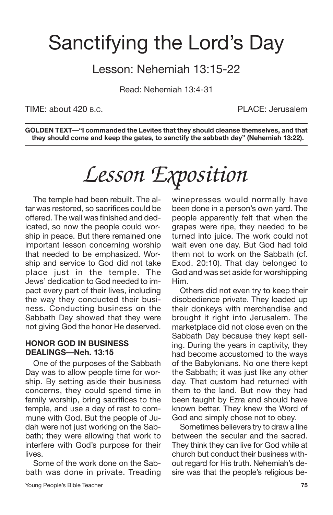## Sanctifying the Lord's Day

## Lesson: Nehemiah 13:15-22

Read: Nehemiah 13:4-31

TIME: about 420 B.C. PLACE: Jerusalem

**GOLDEN TEXT—"I commanded the Levites that they should cleanse themselves, and that they should come and keep the gates, to sanctify the sabbath day" (Nehemiah 13:22).**

# *Lesson Exposition*

The temple had been rebuilt. The altar was restored, so sacrifices could be offered. The wall was finished and dedicated, so now the people could worship in peace. But there remained one important lesson concerning worship that needed to be emphasized. Worship and service to God did not take place just in the temple. The Jews' dedication to God needed to impact every part of their lives, including the way they conducted their business. Conducting business on the Sabbath Day showed that they were not giving God the honor He deserved.

#### **HONOR GOD IN BUSINESS DEALINGS—Neh. 13:15**

One of the purposes of the Sabbath Day was to allow people time for worship. By setting aside their business concerns, they could spend time in family worship, bring sacrifices to the temple, and use a day of rest to commune with God. But the people of Judah were not just working on the Sabbath; they were allowing that work to interfere with God's purpose for their lives.

Some of the work done on the Sabbath was done in private. Treading winepresses would normally have been done in a person's own yard. The people apparently felt that when the grapes were ripe, they needed to be turned into juice. The work could not wait even one day. But God had told them not to work on the Sabbath (cf. Exod. 20:10). That day belonged to God and was set aside for worshipping Him.

Others did not even try to keep their disobedience private. They loaded up their donkeys with merchandise and brought it right into Jerusalem. The marketplace did not close even on the Sabbath Day because they kept selling. During the years in captivity, they had become accustomed to the ways of the Babylonians. No one there kept the Sabbath; it was just like any other day. That custom had returned with them to the land. But now they had been taught by Ezra and should have known better. They knew the Word of God and simply chose not to obey.

Sometimes believers try to draw a line between the secular and the sacred. They think they can live for God while at church but conduct their business without regard for His truth. Nehemiah's desire was that the people's religious be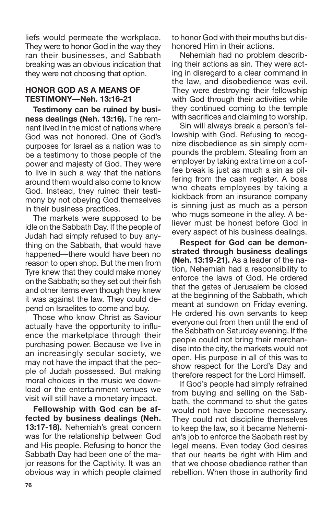liefs would permeate the workplace. They were to honor God in the way they ran their businesses, and Sabbath breaking was an obvious indication that they were not choosing that option.

### **HONOR GOD AS A MEANS OF TESTIMONY—Neh. 13:16-21**

**Testimony can be ruined by business dealings (Neh. 13:16).** The remnant lived in the midst of nations where God was not honored. One of God's purposes for Israel as a nation was to be a testimony to those people of the power and majesty of God. They were to live in such a way that the nations around them would also come to know God. Instead, they ruined their testimony by not obeying God themselves in their business practices.

The markets were supposed to be idle on the Sabbath Day. If the people of Judah had simply refused to buy anything on the Sabbath, that would have happened—there would have been no reason to open shop. But the men from Tyre knew that they could make money on the Sabbath; so they set out their fish and other items even though they knew it was against the law. They could depend on Israelites to come and buy.

Those who know Christ as Saviour actually have the opportunity to influence the marketplace through their purchasing power. Because we live in an increasingly secular society, we may not have the impact that the people of Judah possessed. But making moral choices in the music we download or the entertainment venues we visit will still have a monetary impact.

**Fellowship with God can be affected by business dealings (Neh. 13:17-18).** Nehemiah's great concern was for the relationship between God and His people. Refusing to honor the Sabbath Day had been one of the major reasons for the Captivity. It was an obvious way in which people claimed to honor God with their mouths but dishonored Him in their actions.

Nehemiah had no problem describing their actions as sin. They were acting in disregard to a clear command in the law, and disobedience was evil. They were destroying their fellowship with God through their activities while they continued coming to the temple with sacrifices and claiming to worship.

Sin will always break a person's fellowship with God. Refusing to recognize disobedience as sin simply compounds the problem. Stealing from an employer by taking extra time on a coffee break is just as much a sin as pilfering from the cash register. A boss who cheats employees by taking a kickback from an insurance company is sinning just as much as a person who mugs someone in the alley. A believer must be honest before God in every aspect of his business dealings.

**Respect for God can be demonstrated through business dealings (Neh. 13:19-21).** As a leader of the nation, Nehemiah had a responsibility to enforce the laws of God. He ordered that the gates of Jerusalem be closed at the beginning of the Sabbath, which meant at sundown on Friday evening. He ordered his own servants to keep everyone out from then until the end of the Sabbath on Saturday evening. If the people could not bring their merchandise into the city, the markets would not open. His purpose in all of this was to show respect for the Lord's Day and therefore respect for the Lord Himself.

If God's people had simply refrained from buying and selling on the Sabbath, the command to shut the gates would not have become necessary. They could not discipline themselves to keep the law, so it became Nehemiah's job to enforce the Sabbath rest by legal means. Even today God desires that our hearts be right with Him and that we choose obedience rather than rebellion. When those in authority find